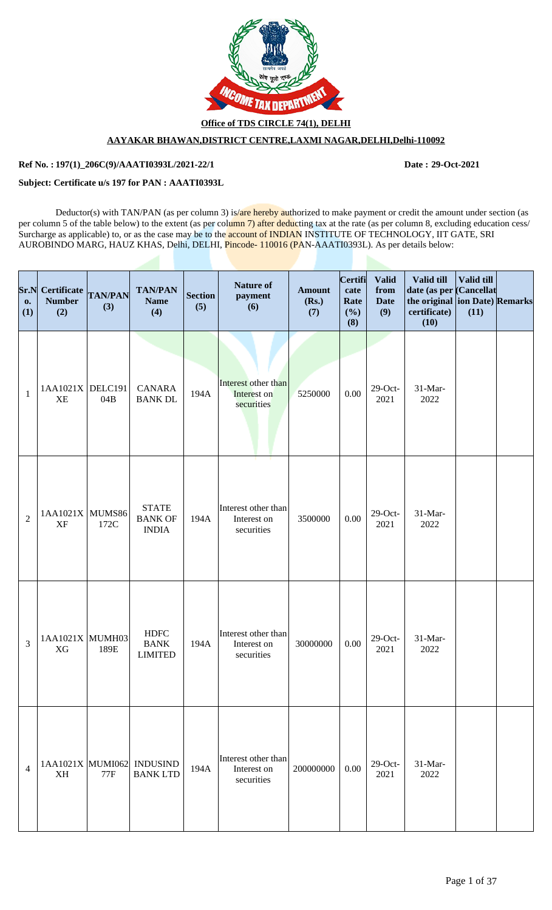

**Office of TDS CIRCLE 74(1), DELHI**

# **AAYAKAR BHAWAN,DISTRICT CENTRE,LAXMI NAGAR,DELHI,Delhi-110092**

## **Ref No. : Date : 197(1)\_206C(9)/AAATI0393L/2021-22/1 29-Oct-2021**

### **Subject: Certificate u/s 197 for PAN : AAATI0393L**

Deductor(s) with TAN/PAN (as per column 3) is/are hereby authorized to make payment or credit the amount under section (as per column 5 of the table below) to the extent (as per column 7) after deducting tax at the rate (as per column 8, excluding education cess/ Surcharge as applicable) to, or as the case may be to the account of INDIAN INSTITUTE OF TECHNOLOGY, IIT GATE, SRI AUROBINDO MARG, HAUZ KHAS, Delhi, DELHI, Pincode-110016 (PAN-AAATI0393L). As per details below:

| Sr.N<br>$\mathbf{0}$<br>(1) | <b>Certificate</b><br><b>Number</b><br>(2) | <b>TAN/PAN</b><br>(3) | <b>TAN/PAN</b><br><b>Name</b><br>(4)           | <b>Section</b><br>(5) | <b>Nature of</b><br>payment<br>(6)               | <b>Amount</b><br>(Rs.)<br>(7) | Certifi<br>cate<br>Rate<br>(%)<br>(8) | <b>Valid</b><br>from<br><b>Date</b><br>(9) | Valid till<br>date (as per Cancellat<br>the original ion Date) Remarks<br>certificate)<br>(10) | Valid till<br>(11) |  |
|-----------------------------|--------------------------------------------|-----------------------|------------------------------------------------|-----------------------|--------------------------------------------------|-------------------------------|---------------------------------------|--------------------------------------------|------------------------------------------------------------------------------------------------|--------------------|--|
| $\mathbf{1}$                | 1AA1021X<br><b>XE</b>                      | DELC191<br>04B        | <b>CANARA</b><br><b>BANK DL</b>                | 194A                  | Interest other than<br>Interest on<br>securities | 5250000                       | 0.00                                  | $29$ -Oct-<br>2021                         | 31-Mar-<br>2022                                                                                |                    |  |
| $\overline{2}$              | $1AA1021X$ MUMS86<br><b>XF</b>             | 172C                  | <b>STATE</b><br><b>BANK OF</b><br><b>INDIA</b> | 194A                  | Interest other than<br>Interest on<br>securities | 3500000                       | 0.00                                  | $29$ -Oct-<br>2021                         | 31-Mar-<br>2022                                                                                |                    |  |
| 3                           | 1AA1021X MUMH03<br>XG                      | 189E                  | <b>HDFC</b><br><b>BANK</b><br><b>LIMITED</b>   | 194A                  | Interest other than<br>Interest on<br>securities | 30000000                      | 0.00                                  | $29$ -Oct-<br>2021                         | $31-Mar-$<br>2022                                                                              |                    |  |
| $\overline{4}$              | <b>XH</b>                                  | $77F$                 | 1AA1021X MUMI062 INDUSIND<br><b>BANKLTD</b>    | 194A                  | Interest other than<br>Interest on<br>securities | 200000000                     | 0.00                                  | $29$ -Oct-<br>2021                         | 31-Mar-<br>2022                                                                                |                    |  |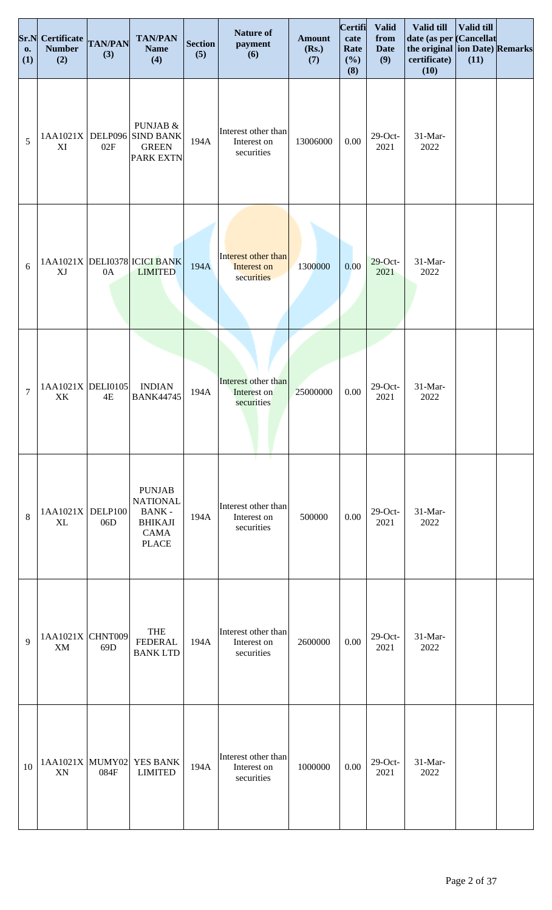| 0.<br>(1)      | <b>Sr.N</b> Certificate<br><b>Number</b><br>(2) | <b>TAN/PAN</b><br>(3) | <b>TAN/PAN</b><br><b>Name</b><br>(4)                                                              | <b>Section</b><br>(5) | <b>Nature of</b><br>payment<br>(6)               | <b>Amount</b><br>(Rs.)<br>(7) | Certifi<br>cate<br>Rate<br>(%)<br>(8) | <b>Valid</b><br>from<br><b>Date</b><br>(9) | Valid till<br>date (as per Cancellat<br>the original ion Date) Remarks<br>certificate)<br>(10) | Valid till<br>(11) |  |
|----------------|-------------------------------------------------|-----------------------|---------------------------------------------------------------------------------------------------|-----------------------|--------------------------------------------------|-------------------------------|---------------------------------------|--------------------------------------------|------------------------------------------------------------------------------------------------|--------------------|--|
| 5              | 1AA1021X<br>XI                                  | 02F                   | PUNJAB &<br>DELP096 SIND BANK<br><b>GREEN</b><br><b>PARK EXTN</b>                                 | 194A                  | Interest other than<br>Interest on<br>securities | 13006000                      | 0.00                                  | $29$ -Oct-<br>2021                         | 31-Mar-<br>2022                                                                                |                    |  |
| 6              | XJ                                              | 0A                    | 1AA1021X DELI0378 ICICI BANK<br><b>LIMITED</b>                                                    | 194A                  | Interest other than<br>Interest on<br>securities | 1300000                       | 0.00                                  | $29$ -Oct-<br>2021                         | 31-Mar-<br>2022                                                                                |                    |  |
| $\overline{7}$ | 1AA1021X DELI0105<br>XK                         | 4E                    | <b>INDIAN</b><br><b>BANK44745</b>                                                                 | 194A                  | Interest other than<br>Interest on<br>securities | 25000000                      | 0.00                                  | $29$ -Oct-<br>2021                         | 31-Mar-<br>2022                                                                                |                    |  |
| 8              | 1AA1021X<br><b>XL</b>                           | DELP100<br>06D        | <b>PUNJAB</b><br><b>NATIONAL</b><br><b>BANK-</b><br><b>BHIKAJI</b><br><b>CAMA</b><br><b>PLACE</b> | 194A                  | Interest other than<br>Interest on<br>securities | 500000                        | 0.00                                  | $29$ -Oct-<br>2021                         | 31-Mar-<br>2022                                                                                |                    |  |
| $\mathbf{Q}$   | 1AA1021X<br>XM                                  | CHNT009<br>69D        | <b>THE</b><br><b>FEDERAL</b><br><b>BANKLTD</b>                                                    | 194A                  | Interest other than<br>Interest on<br>securities | 2600000                       | 0.00                                  | $29$ -Oct-<br>2021                         | 31-Mar-<br>2022                                                                                |                    |  |
| 10             | 1AA1021X MUMY02<br>XN                           | 084F                  | YES BANK<br><b>LIMITED</b>                                                                        | 194A                  | Interest other than<br>Interest on<br>securities | 1000000                       | 0.00                                  | $29$ -Oct-<br>2021                         | 31-Mar-<br>2022                                                                                |                    |  |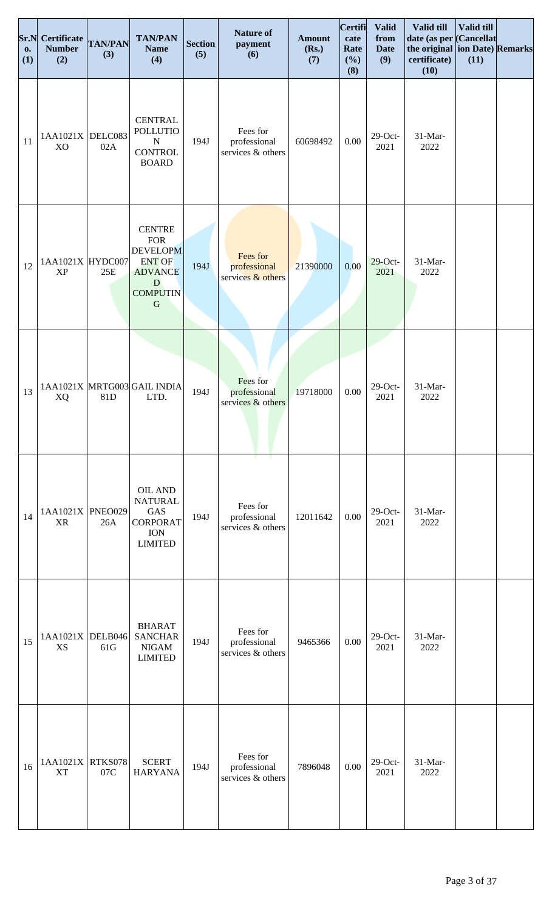| Sr.N<br><b>o.</b><br>(1) | Certificate TAN/PAN<br><b>Number</b><br>(2) | (3) | <b>TAN/PAN</b><br><b>Name</b><br>(4)                                                                                             | <b>Section</b><br>(5) | <b>Nature of</b><br>payment<br>(6)                         | <b>Amount</b><br>(Rs.)<br>(7) | <b>Certifi</b><br>cate<br>Rate<br>(%)<br>(8) | <b>Valid</b><br>from<br><b>Date</b><br>(9) | <b>Valid till</b><br>date (as per Cancellat<br>the original ion Date) Remarks<br>certificate)<br>(10) | Valid till<br>(11) |  |
|--------------------------|---------------------------------------------|-----|----------------------------------------------------------------------------------------------------------------------------------|-----------------------|------------------------------------------------------------|-------------------------------|----------------------------------------------|--------------------------------------------|-------------------------------------------------------------------------------------------------------|--------------------|--|
| 11                       | $1AA1021X$ DELC083<br>X <sub>O</sub>        | 02A | <b>CENTRAL</b><br><b>POLLUTIO</b><br>$\mathbf N$<br><b>CONTROL</b><br><b>BOARD</b>                                               | 194J                  | Fees for<br>professional<br>services & others              | 60698492                      | $0.00\,$                                     | $29$ -Oct-<br>2021                         | 31-Mar-<br>2022                                                                                       |                    |  |
| 12                       | 1AA1021X HYDC007<br><b>XP</b>               | 25E | <b>CENTRE</b><br><b>FOR</b><br><b>DEVELOPM</b><br><b>ENT OF</b><br><b>ADVANCE</b><br>${\bf D}$<br><b>COMPUTIN</b><br>$\mathbf G$ | 194J                  | Fees for<br>professional<br>services & others              | 21390000                      | 0.00                                         | $29$ -Oct-<br>2021                         | 31-Mar-<br>2022                                                                                       |                    |  |
| 13                       | XQ                                          | 81D | 1AA1021X MRTG003 GAIL INDIA<br>LTD.                                                                                              | 194J                  | Fees for<br>professional<br>services & others              | 19718000                      | $0.00\,$                                     | $29$ -Oct-<br>2021                         | 31-Mar-<br>2022                                                                                       |                    |  |
| 14                       | 1AA1021X PNEO029<br><b>XR</b>               | 26A | OIL AND<br><b>NATURAL</b><br>GAS<br><b>CORPORAT</b><br><b>ION</b><br><b>LIMITED</b>                                              | 194J                  | - 1<br>т.<br>Fees for<br>professional<br>services & others | 12011642                      | 0.00                                         | $29$ -Oct-<br>2021                         | 31-Mar-<br>2022                                                                                       |                    |  |
| 15                       | $1AA1021X$ DELB046<br>XS                    | 61G | <b>BHARAT</b><br><b>SANCHAR</b><br><b>NIGAM</b><br><b>LIMITED</b>                                                                | 194J                  | Fees for<br>professional<br>services & others              | 9465366                       | 0.00                                         | $29$ -Oct-<br>2021                         | 31-Mar-<br>2022                                                                                       |                    |  |
| 16                       | 1AA1021X RTKS078<br><b>XT</b>               | 07C | <b>SCERT</b><br><b>HARYANA</b>                                                                                                   | 194J                  | Fees for<br>professional<br>services & others              | 7896048                       | 0.00                                         | $29$ -Oct-<br>2021                         | 31-Mar-<br>2022                                                                                       |                    |  |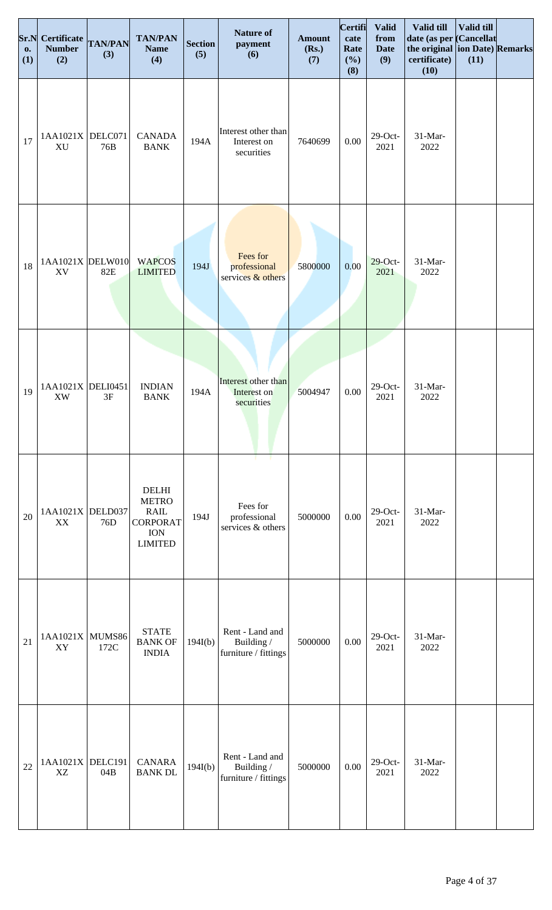| Sr.N<br>0.<br>(1) | <b>Certificate</b><br><b>Number</b><br>(2) | <b>TAN/PAN</b><br>(3) | <b>TAN/PAN</b><br><b>Name</b><br>(4)                                                           | <b>Section</b><br>(5) | <b>Nature of</b><br>payment<br>(6)                    | <b>Amount</b><br>(Rs.)<br>(7) | <b>Certifi</b><br>cate<br>Rate<br>(%)<br>(8) | <b>Valid</b><br>from<br><b>Date</b><br>(9) | Valid till<br>date (as per Cancellat<br>the original ion Date) Remarks<br>certificate)<br>(10) | Valid till<br>(11) |  |
|-------------------|--------------------------------------------|-----------------------|------------------------------------------------------------------------------------------------|-----------------------|-------------------------------------------------------|-------------------------------|----------------------------------------------|--------------------------------------------|------------------------------------------------------------------------------------------------|--------------------|--|
| 17                | 1AA1021X<br>XU                             | DELC071<br>76B        | <b>CANADA</b><br><b>BANK</b>                                                                   | 194A                  | Interest other than<br>Interest on<br>securities      | 7640699                       | 0.00                                         | $29$ -Oct-<br>2021                         | 31-Mar-<br>2022                                                                                |                    |  |
| 18                | $1AA1021X$ DELW010<br>XV                   | 82E                   | <b>WAPCOS</b><br><b>LIMITED</b>                                                                | 194J                  | Fees for<br>professional<br>services & others         | 5800000                       | 0.00                                         | $29$ -Oct-<br>2021                         | 31-Mar-<br>2022                                                                                |                    |  |
| 19                | 1AA1021X DELI0451<br>XW                    | 3F                    | <b>INDIAN</b><br><b>BANK</b>                                                                   | 194A                  | Interest other than<br>Interest on<br>securities      | 5004947                       | $0.00\,$                                     | $29$ -Oct-<br>2021                         | 31-Mar-<br>2022                                                                                |                    |  |
| 20                | 1AA1021X DELD037<br>XX                     | 76D                   | <b>DELHI</b><br><b>METRO</b><br><b>RAIL</b><br><b>CORPORAT</b><br><b>ION</b><br><b>LIMITED</b> | 194J                  | Fees for<br>professional<br>services & others         | 5000000                       | 0.00                                         | $29$ -Oct-<br>2021                         | 31-Mar-<br>2022                                                                                |                    |  |
| 21                | 1AA1021X<br>XY                             | MUMS86<br>172C        | <b>STATE</b><br><b>BANK OF</b><br><b>INDIA</b>                                                 | 194I(b)               | Rent - Land and<br>Building /<br>furniture / fittings | 5000000                       | $0.00\,$                                     | $29$ -Oct-<br>2021                         | 31-Mar-<br>2022                                                                                |                    |  |
| 22                | 1AA1021X DELC191<br>XZ                     | 04B                   | <b>CANARA</b><br><b>BANK DL</b>                                                                | 194I(b)               | Rent - Land and<br>Building /<br>furniture / fittings | 5000000                       | $0.00\,$                                     | $29$ -Oct-<br>2021                         | 31-Mar-<br>2022                                                                                |                    |  |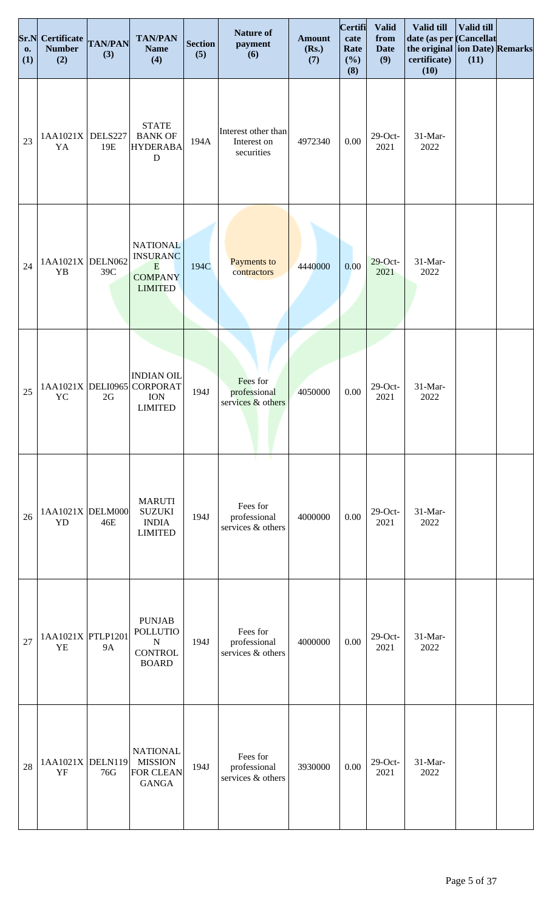| Sr.N<br>0.<br>(1) | <b>Certificate</b><br><b>Number</b><br>(2) | <b>TAN/PAN</b><br>(3) | <b>TAN/PAN</b><br><b>Name</b><br>(4)                                            | <b>Section</b><br>(5) | <b>Nature of</b><br>payment<br>(6)               | <b>Amount</b><br>(Rs.)<br>(7) | Certifi<br>cate<br>Rate<br>(%)<br>(8) | <b>Valid</b><br>from<br><b>Date</b><br>(9) | Valid till<br>date (as per Cancellat<br>the original ion Date) Remarks<br>certificate)<br>(10) | Valid till<br>(11) |  |
|-------------------|--------------------------------------------|-----------------------|---------------------------------------------------------------------------------|-----------------------|--------------------------------------------------|-------------------------------|---------------------------------------|--------------------------------------------|------------------------------------------------------------------------------------------------|--------------------|--|
| 23                | 1AA1021X<br>YA                             | DELS227<br>19E        | <b>STATE</b><br><b>BANK OF</b><br><b>HYDERABA</b><br>${\bf D}$                  | 194A                  | Interest other than<br>Interest on<br>securities | 4972340                       | 0.00                                  | $29$ -Oct-<br>2021                         | 31-Mar-<br>2022                                                                                |                    |  |
| 24                | 1AA1021X DELN062<br>YB                     | 39C                   | <b>NATIONAL</b><br><b>INSURANC</b><br>E<br><b>COMPANY</b><br><b>LIMITED</b>     | 194C                  | Payments to<br>contractors                       | 4440000                       | 0.00                                  | $29$ -Oct-<br>2021                         | 31-Mar-<br>2022                                                                                |                    |  |
| 25                | 1AA1021X DELI0965<br>YC                    | 2G                    | <b>INDIAN OIL</b><br><b>CORPORAT</b><br><b>ION</b><br><b>LIMITED</b>            | 194J                  | Fees for<br>professional<br>services & others    | 4050000                       | 0.00                                  | $29$ -Oct-<br>2021                         | 31-Mar-<br>2022                                                                                |                    |  |
| 26                | 1AA1021X DELM000<br>YD                     | 46E                   | <b>MARUTI</b><br><b>SUZUKI</b><br><b>INDIA</b><br><b>LIMITED</b>                | 194J                  | Fees for<br>professional<br>services & others    | 4000000                       | 0.00                                  | $29$ -Oct-<br>2021                         | 31-Mar-<br>2022                                                                                |                    |  |
| 27                | 1AA1021X PTLP1201<br>YE                    | <b>9A</b>             | <b>PUNJAB</b><br><b>POLLUTIO</b><br>${\bf N}$<br><b>CONTROL</b><br><b>BOARD</b> | 194J                  | Fees for<br>professional<br>services & others    | 4000000                       | 0.00                                  | $29$ -Oct-<br>2021                         | 31-Mar-<br>2022                                                                                |                    |  |
| 28                | 1AA1021X DELN119<br>YF                     | 76G                   | <b>NATIONAL</b><br><b>MISSION</b><br><b>FOR CLEAN</b><br><b>GANGA</b>           | 194J                  | Fees for<br>professional<br>services & others    | 3930000                       | 0.00                                  | $29$ -Oct-<br>2021                         | 31-Mar-<br>2022                                                                                |                    |  |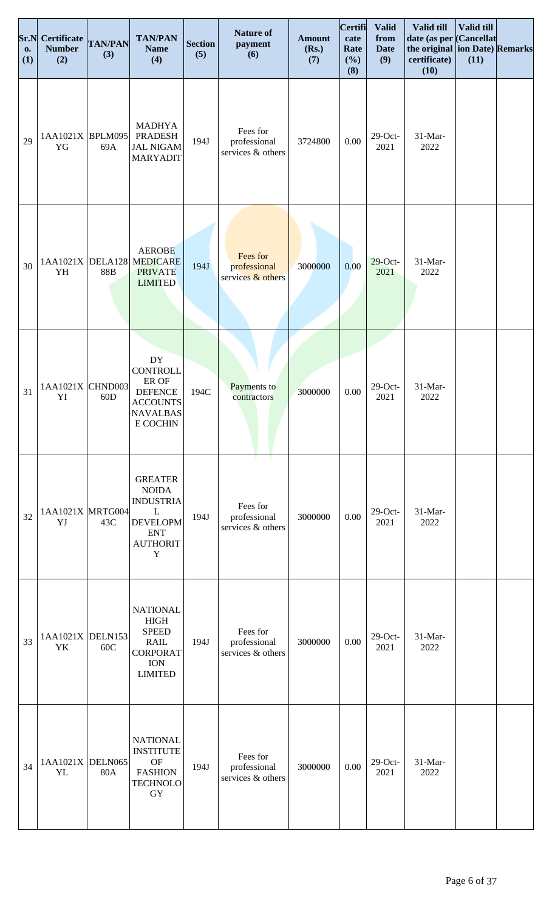| Sr.N<br><b>O.</b><br>(1) | <b>Certificate</b><br><b>Number</b><br>(2) | <b>TAN/PAN</b><br>(3) | <b>TAN/PAN</b><br><b>Name</b><br>(4)                                                                                   | <b>Section</b><br>(5) | <b>Nature of</b><br>payment<br>(6)            | <b>Amount</b><br>(Rs.)<br>(7) | Certifi<br>cate<br>Rate<br>(%)<br>(8) | <b>Valid</b><br>from<br><b>Date</b><br>(9) | Valid till<br>date (as per Cancellat<br>the original ion Date) Remarks<br>certificate)<br>(10) | Valid till<br>(11) |  |
|--------------------------|--------------------------------------------|-----------------------|------------------------------------------------------------------------------------------------------------------------|-----------------------|-----------------------------------------------|-------------------------------|---------------------------------------|--------------------------------------------|------------------------------------------------------------------------------------------------|--------------------|--|
| 29                       | 1AA1021X BPLM095<br>YG                     | 69A                   | <b>MADHYA</b><br><b>PRADESH</b><br><b>JAL NIGAM</b><br><b>MARYADIT</b>                                                 | 194J                  | Fees for<br>professional<br>services & others | 3724800                       | 0.00                                  | $29$ -Oct-<br>2021                         | 31-Mar-<br>2022                                                                                |                    |  |
| 30                       | YH                                         | 88B                   | <b>AEROBE</b><br>1AA1021X DELA128 MEDICARE<br><b>PRIVATE</b><br><b>LIMITED</b>                                         | 194J                  | Fees for<br>professional<br>services & others | 3000000                       | 0.00                                  | $29$ -Oct-<br>2021                         | 31-Mar-<br>2022                                                                                |                    |  |
| 31                       | 1AA1021X CHND003<br>YI                     | 60D                   | $\mathbf{D}\mathbf{Y}$<br><b>CONTROLL</b><br>ER OF<br><b>DEFENCE</b><br><b>ACCOUNTS</b><br><b>NAVALBAS</b><br>E COCHIN | 194C                  | Payments to<br>contractors                    | 3000000                       | 0.00                                  | $29$ -Oct-<br>2021                         | 31-Mar-<br>2022                                                                                |                    |  |
| 32                       | 1AA1021X MRTG004<br>YJ                     | 43C                   | <b>GREATER</b><br><b>NOIDA</b><br><b>INDUSTRIA</b><br>L<br><b>DEVELOPM</b><br><b>ENT</b><br><b>AUTHORIT</b><br>Y       | 194J                  | Fees for<br>professional<br>services & others | 3000000                       | 0.00                                  | $29$ -Oct-<br>2021                         | 31-Mar-<br>2022                                                                                |                    |  |
| 33                       | 1AA1021X DELN153<br>YK                     | 60C                   | <b>NATIONAL</b><br><b>HIGH</b><br><b>SPEED</b><br><b>RAIL</b><br><b>CORPORAT</b><br><b>ION</b><br><b>LIMITED</b>       | 194J                  | Fees for<br>professional<br>services & others | 3000000                       | 0.00                                  | $29$ -Oct-<br>2021                         | 31-Mar-<br>2022                                                                                |                    |  |
| 34                       | $1AA1021X$ DELN065<br>YL                   | 80A                   | <b>NATIONAL</b><br><b>INSTITUTE</b><br><b>OF</b><br><b>FASHION</b><br><b>TECHNOLO</b><br>GY                            | 194J                  | Fees for<br>professional<br>services & others | 3000000                       | 0.00                                  | $29$ -Oct-<br>2021                         | 31-Mar-<br>2022                                                                                |                    |  |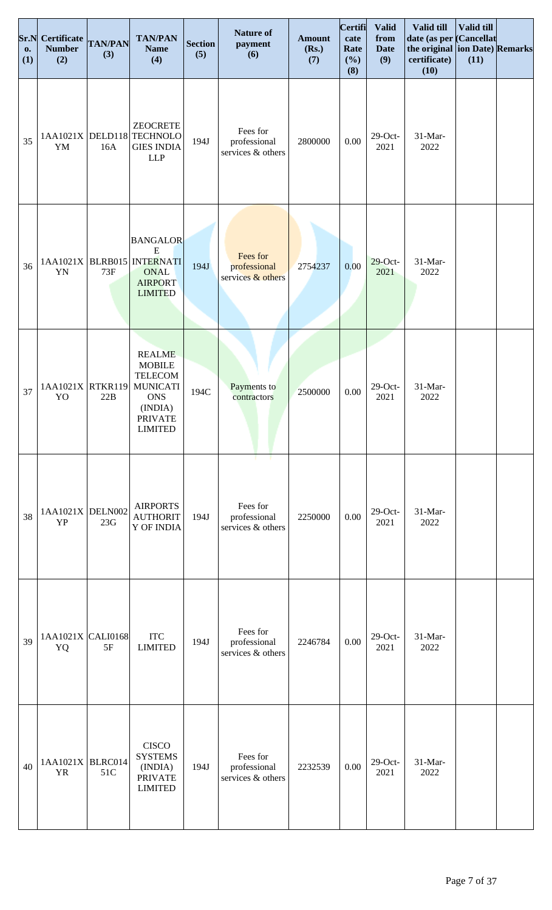| Sr.N<br><b>o.</b><br>(1) | Certificate TAN/PAN<br><b>Number</b><br>(2) | (3) | <b>TAN/PAN</b><br><b>Name</b><br>(4)                                                                                             | <b>Section</b><br>(5) | <b>Nature of</b><br>payment<br>(6)              | <b>Amount</b><br>(Rs.)<br>(7) | <b>Certifi</b><br>cate<br>Rate<br>(%)<br>(8) | <b>Valid</b><br>from<br><b>Date</b><br>(9) | Valid till<br>date (as per Cancellat<br>the original ion Date) Remarks<br>certificate)<br>(10) | Valid till<br>(11) |  |
|--------------------------|---------------------------------------------|-----|----------------------------------------------------------------------------------------------------------------------------------|-----------------------|-------------------------------------------------|-------------------------------|----------------------------------------------|--------------------------------------------|------------------------------------------------------------------------------------------------|--------------------|--|
| 35                       | YM                                          | 16A | <b>ZEOCRETE</b><br>1AA1021X DELD118 TECHNOLO<br><b>GIES INDIA</b><br><b>LLP</b>                                                  | 194J                  | Fees for<br>professional<br>services & others   | 2800000                       | 0.00                                         | $29$ -Oct-<br>2021                         | 31-Mar-<br>2022                                                                                |                    |  |
| 36                       | YN                                          | 73F | <b>BANGALOR</b><br>${\bf E}$<br>1AA1021X BLRB015 NTERNATI<br><b>ONAL</b><br><b>AIRPORT</b><br><b>LIMITED</b>                     | 194J                  | Fees for<br>professional<br>services $&$ others | 2754237                       | 0.00                                         | $29$ -Oct-<br>2021                         | 31-Mar-<br>2022                                                                                |                    |  |
| 37                       | 1AA1021X RTKR119<br>YO                      | 22B | <b>REALME</b><br><b>MOBILE</b><br><b>TELECOM</b><br><b>MUNICATI</b><br><b>ONS</b><br>(INDIA)<br><b>PRIVATE</b><br><b>LIMITED</b> | 194C                  | Payments to<br>contractors                      | 2500000                       | $0.00\,$                                     | $29$ -Oct-<br>2021                         | 31-Mar-<br>2022                                                                                |                    |  |
| 38                       | 1AA1021X DELN002<br><b>YP</b>               | 23G | <b>AIRPORTS</b><br><b>AUTHORIT</b><br>Y OF INDIA                                                                                 | 194J                  | Fees for<br>professional<br>services & others   | 2250000                       | 0.00                                         | $29$ -Oct-<br>2021                         | 31-Mar-<br>2022                                                                                |                    |  |
| 39                       | 1AA1021X CALI0168<br>YQ                     | 5F  | <b>ITC</b><br><b>LIMITED</b>                                                                                                     | 194J                  | Fees for<br>professional<br>services & others   | 2246784                       | 0.00                                         | $29$ -Oct-<br>2021                         | 31-Mar-<br>2022                                                                                |                    |  |
| 40                       | 1AA1021X BLRC014<br><b>YR</b>               | 51C | <b>CISCO</b><br><b>SYSTEMS</b><br>(INDIA)<br><b>PRIVATE</b><br><b>LIMITED</b>                                                    | 194J                  | Fees for<br>professional<br>services & others   | 2232539                       | 0.00                                         | $29$ -Oct-<br>2021                         | 31-Mar-<br>2022                                                                                |                    |  |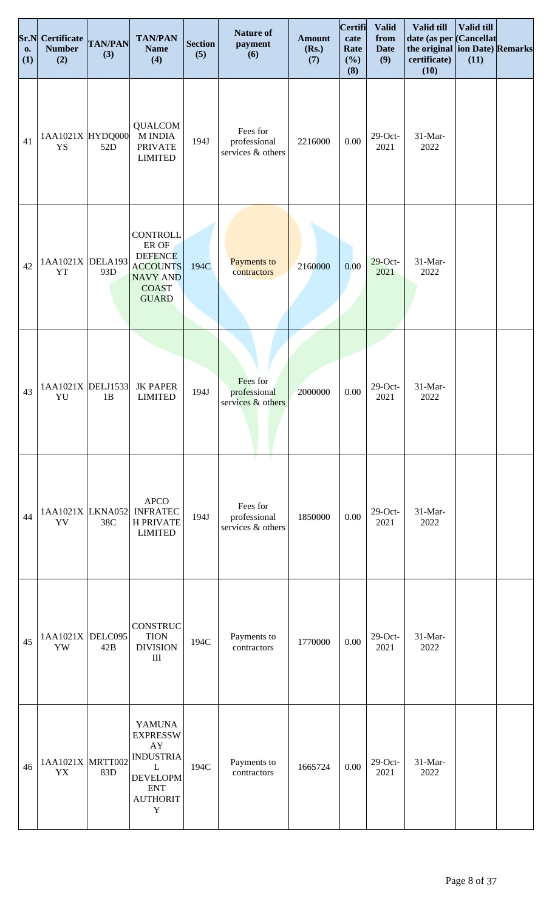| Sr.N<br>0.<br>(1) | Certificate TAN/PAN<br><b>Number</b><br>(2) | (3) | <b>TAN/PAN</b><br><b>Name</b><br>(4)                                                                                                       | <b>Section</b><br>(5) | <b>Nature of</b><br>payment<br>(6)                  | <b>Amount</b><br>(Rs.)<br>(7) | <b>Certifi</b><br>cate<br>Rate<br>(%)<br>(8) | <b>Valid</b><br>from<br><b>Date</b><br>(9) | Valid till<br>date (as per<br>the original ion Date) Remarks<br>certificate)<br>(10) | Valid till<br><b>Cancellat</b><br>(11) |  |
|-------------------|---------------------------------------------|-----|--------------------------------------------------------------------------------------------------------------------------------------------|-----------------------|-----------------------------------------------------|-------------------------------|----------------------------------------------|--------------------------------------------|--------------------------------------------------------------------------------------|----------------------------------------|--|
| 41                | 1AA1021X HYDQ000<br>YS                      | 52D | <b>QUALCOM</b><br><b>M INDIA</b><br><b>PRIVATE</b><br><b>LIMITED</b>                                                                       | 194J                  | Fees for<br>professional<br>services & others       | 2216000                       | 0.00                                         | $29$ -Oct-<br>2021                         | 31-Mar-<br>2022                                                                      |                                        |  |
| 42                | 1AA1021X DELA193<br><b>YT</b>               | 93D | <b>CONTROLL</b><br>ER OF<br><b>DEFENCE</b><br><b>ACCOUNTS</b><br><b>NAVY AND</b><br><b>COAST</b><br><b>GUARD</b>                           | 194C                  | <b>Payments to</b><br>contractors                   | 2160000                       | 0.00                                         | $29$ -Oct-<br>2021                         | 31-Mar-<br>2022                                                                      |                                        |  |
| 43                | 1AA1021X DELJ1533<br>YU                     | 1B  | <b>JK PAPER</b><br><b>LIMITED</b>                                                                                                          | 194J                  | Fees for<br>professional<br>services & others       | 2000000                       | $0.00\,$                                     | $29$ -Oct-<br>2021                         | 31-Mar-<br>2022                                                                      |                                        |  |
| 44                | 1AA1021X LKNA052<br>YV                      | 38C | <b>APCO</b><br><b>INFRATEC</b><br><b>H PRIVATE</b><br><b>LIMITED</b>                                                                       | 194J                  | т.<br>Fees for<br>professional<br>services & others | 1850000                       | 0.00                                         | $29$ -Oct-<br>2021                         | 31-Mar-<br>2022                                                                      |                                        |  |
| 45                | $1AA1021X$ DELC095<br>YW                    | 42B | CONSTRUC<br><b>TION</b><br><b>DIVISION</b><br>$\rm III$                                                                                    | 194C                  | Payments to<br>contractors                          | 1770000                       | $0.00\,$                                     | $29$ -Oct-<br>2021                         | 31-Mar-<br>2022                                                                      |                                        |  |
| 46                | 1AA1021X MRTT002<br>YX                      | 83D | <b>YAMUNA</b><br><b>EXPRESSW</b><br>${\rm AY}$<br><b>INDUSTRIA</b><br>L<br><b>DEVELOPM</b><br><b>ENT</b><br><b>AUTHORIT</b><br>$\mathbf Y$ | 194C                  | Payments to<br>contractors                          | 1665724                       | 0.00                                         | $29$ -Oct-<br>2021                         | 31-Mar-<br>2022                                                                      |                                        |  |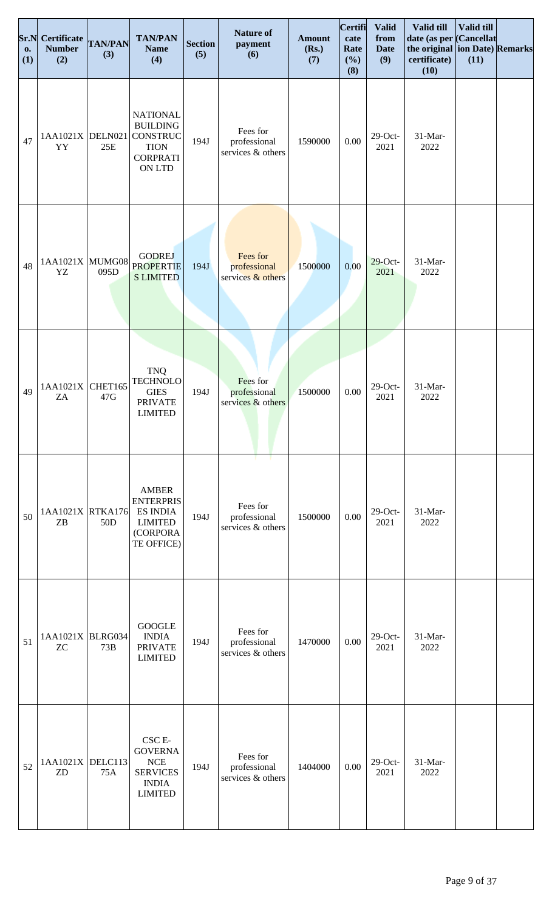| Sr.N<br><b>O.</b><br>(1) | <b>Certificate</b><br><b>Number</b><br>(2) | <b>TAN/PAN</b><br>(3) | <b>TAN/PAN</b><br><b>Name</b><br>(4)                                                              | <b>Section</b><br>(5) | <b>Nature of</b><br>payment<br>(6)            | <b>Amount</b><br>(Rs.)<br>(7) | Certifi<br>cate<br>Rate<br>(%)<br>(8) | <b>Valid</b><br>from<br><b>Date</b><br>(9) | Valid till<br>date (as per Cancellat<br>the original ion Date) Remarks<br>certificate)<br>(10) | Valid till<br>(11) |  |
|--------------------------|--------------------------------------------|-----------------------|---------------------------------------------------------------------------------------------------|-----------------------|-----------------------------------------------|-------------------------------|---------------------------------------|--------------------------------------------|------------------------------------------------------------------------------------------------|--------------------|--|
| 47                       | 1AA1021X DELN021<br>YY                     | 25E                   | <b>NATIONAL</b><br><b>BUILDING</b><br>CONSTRUC<br><b>TION</b><br><b>CORPRATI</b><br><b>ON LTD</b> | 194J                  | Fees for<br>professional<br>services & others | 1590000                       | 0.00                                  | $29$ -Oct-<br>2021                         | 31-Mar-<br>2022                                                                                |                    |  |
| 48                       | 1AA1021X MUMG08<br>YZ                      | 095D                  | <b>GODREJ</b><br><b>PROPERTIE</b><br><b>S LIMITED</b>                                             | 194J                  | Fees for<br>professional<br>services & others | 1500000                       | 0.00                                  | $29$ -Oct-<br>2021                         | 31-Mar-<br>2022                                                                                |                    |  |
| 49                       | 1AA1021X<br>ZA                             | CHET165<br>47G        | <b>TNQ</b><br><b>TECHNOLO</b><br><b>GIES</b><br><b>PRIVATE</b><br><b>LIMITED</b>                  | 194J                  | Fees for<br>professional<br>services & others | 1500000                       | 0.00                                  | $29$ -Oct-<br>2021                         | 31-Mar-<br>2022                                                                                |                    |  |
| 50                       | 1AA1021X RTKA176<br>ZB                     | 50 <sub>D</sub>       | <b>AMBER</b><br><b>ENTERPRIS</b><br><b>ES INDIA</b><br><b>LIMITED</b><br>(CORPORA<br>TE OFFICE)   | 194J                  | Fees for<br>professional<br>services & others | 1500000                       | 0.00                                  | $29$ -Oct-<br>2021                         | 31-Mar-<br>2022                                                                                |                    |  |
| 51                       | 1AA1021X BLRG034<br><b>ZC</b>              | 73B                   | <b>GOOGLE</b><br><b>INDIA</b><br><b>PRIVATE</b><br><b>LIMITED</b>                                 | 194J                  | Fees for<br>professional<br>services & others | 1470000                       | 0.00                                  | $29$ -Oct-<br>2021                         | 31-Mar-<br>2022                                                                                |                    |  |
| 52                       | $1AA1021X$ DELC113<br>ZD                   | 75A                   | CSC <sub>E</sub> -<br><b>GOVERNA</b><br>NCE<br><b>SERVICES</b><br><b>INDIA</b><br><b>LIMITED</b>  | 194J                  | Fees for<br>professional<br>services & others | 1404000                       | 0.00                                  | $29$ -Oct-<br>2021                         | 31-Mar-<br>2022                                                                                |                    |  |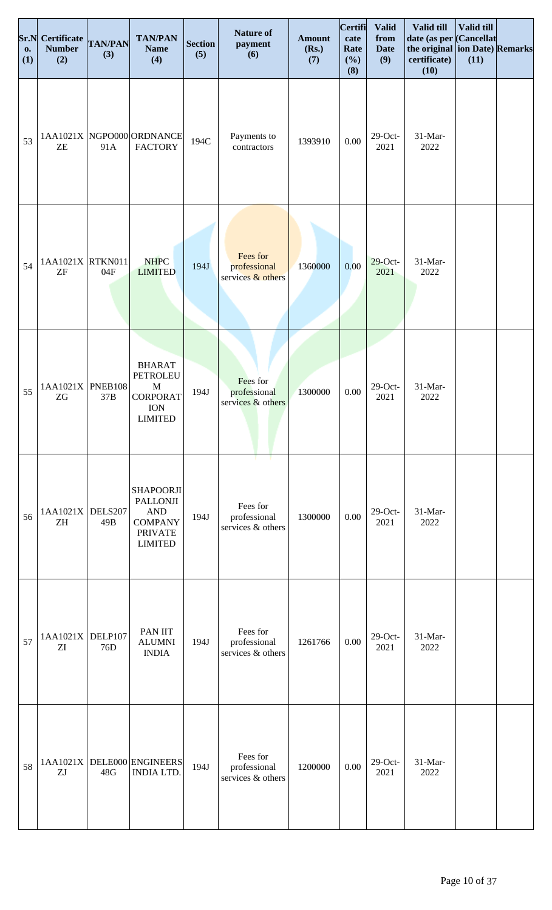| Sr.N<br>0.<br>(1) | Certificate<br><b>Number</b><br>(2) | <b>TAN/PAN</b><br>(3) | <b>TAN/PAN</b><br><b>Name</b><br>(4)                                                                    | <b>Section</b><br>(5) | <b>Nature of</b><br>payment<br>(6)            | <b>Amount</b><br>(Rs.)<br>(7) | Certifi<br>cate<br>Rate<br>(%)<br>(8) | <b>Valid</b><br>from<br><b>Date</b><br>(9) | Valid till<br>date (as per Cancellat<br>the original ion Date) Remarks<br>certificate)<br>(10) | Valid till<br>(11) |  |
|-------------------|-------------------------------------|-----------------------|---------------------------------------------------------------------------------------------------------|-----------------------|-----------------------------------------------|-------------------------------|---------------------------------------|--------------------------------------------|------------------------------------------------------------------------------------------------|--------------------|--|
| 53                | ZE                                  | 91A                   | 1AA1021X NGPO000 ORDNANCE<br><b>FACTORY</b>                                                             | 194C                  | Payments to<br>contractors                    | 1393910                       | 0.00                                  | $29$ -Oct-<br>2021                         | 31-Mar-<br>2022                                                                                |                    |  |
| 54                | 1AA1021X RTKN011<br>${\rm ZF}$      | 04F                   | <b>NHPC</b><br><b>LIMITED</b>                                                                           | 194J                  | Fees for<br>professional<br>services & others | 1360000                       | 0.00                                  | $29$ -Oct-<br>2021                         | 31-Mar-<br>2022                                                                                |                    |  |
| 55                | $1AA1021X$ PNEB108<br>ZG            | 37B                   | <b>BHARAT</b><br><b>PETROLEU</b><br>$\mathbf M$<br><b>CORPORAT</b><br><b>ION</b><br><b>LIMITED</b>      | 194J                  | Fees for<br>professional<br>services & others | 1300000                       | $0.00\,$                              | $29$ -Oct-<br>2021                         | 31-Mar-<br>2022                                                                                |                    |  |
| 56                | 1AA1021X<br>ZH                      | DELS207<br>49B        | <b>SHAPOORJI</b><br><b>PALLONJI</b><br><b>AND</b><br><b>COMPANY</b><br><b>PRIVATE</b><br><b>LIMITED</b> | 194J                  | Fees for<br>professional<br>services & others | 1300000                       | 0.00                                  | $29$ -Oct-<br>2021                         | 31-Mar-<br>2022                                                                                |                    |  |
| 57                | 1AA1021X<br>ZI                      | DELP107<br>76D        | PAN IIT<br><b>ALUMNI</b><br><b>INDIA</b>                                                                | 194J                  | Fees for<br>professional<br>services & others | 1261766                       | 0.00                                  | $29$ -Oct-<br>2021                         | 31-Mar-<br>2022                                                                                |                    |  |
| 58                | ZJ                                  | 48G                   | 1AA1021X DELE000 ENGINEERS<br><b>INDIA LTD.</b>                                                         | 194J                  | Fees for<br>professional<br>services & others | 1200000                       | 0.00                                  | $29$ -Oct-<br>2021                         | 31-Mar-<br>2022                                                                                |                    |  |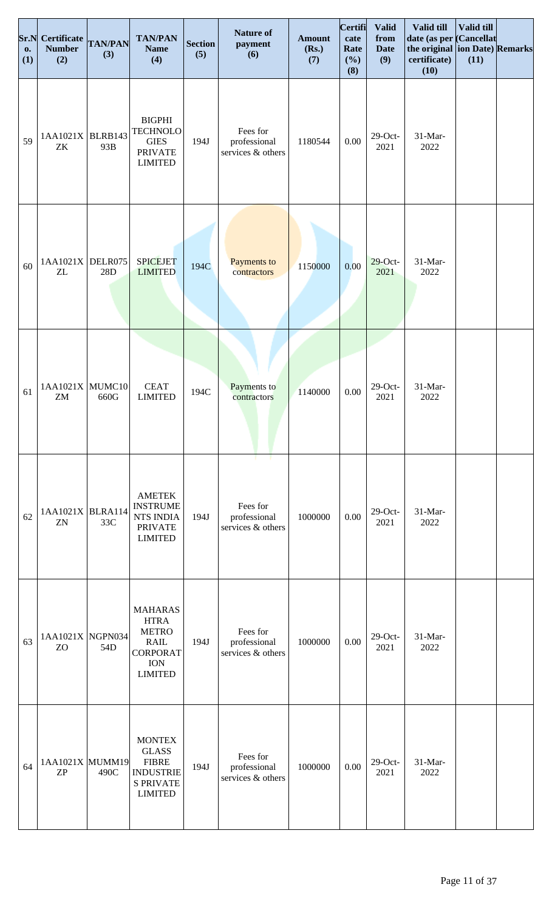| Sr.N<br><b>o.</b><br>(1) | Certificate<br><b>Number</b><br>(2) | <b>TAN/PAN</b><br>(3) | <b>TAN/PAN</b><br><b>Name</b><br>(4)                                                                            | <b>Section</b><br>(5) | <b>Nature of</b><br>payment<br>(6)                         | <b>Amount</b><br>(Rs.)<br>(7) | Certifi<br>cate<br>Rate<br>(%)<br>(8) | <b>Valid</b><br>from<br><b>Date</b><br>(9) | Valid till<br>date (as per Cancellat<br>the original ion Date) Remarks<br>certificate)<br>(10) | Valid till<br>(11) |  |
|--------------------------|-------------------------------------|-----------------------|-----------------------------------------------------------------------------------------------------------------|-----------------------|------------------------------------------------------------|-------------------------------|---------------------------------------|--------------------------------------------|------------------------------------------------------------------------------------------------|--------------------|--|
| 59                       | $1AA1021X$ BLRB143<br>ZK            | 93B                   | <b>BIGPHI</b><br><b>TECHNOLO</b><br><b>GIES</b><br><b>PRIVATE</b><br><b>LIMITED</b>                             | 194J                  | Fees for<br>professional<br>services & others              | 1180544                       | 0.00                                  | $29$ -Oct-<br>2021                         | 31-Mar-<br>2022                                                                                |                    |  |
| 60                       | 1AA1021X<br>ZL                      | DELR075<br>28D        | <b>SPICEJET</b><br><b>LIMITED</b>                                                                               | 194C                  | Payments to<br>contractors                                 | 1150000                       | 0.00                                  | $29$ -Oct-<br>2021                         | 31-Mar-<br>2022                                                                                |                    |  |
| 61                       | 1AA1021X MUMC10<br>ZM               | 660G                  | <b>CEAT</b><br><b>LIMITED</b>                                                                                   | 194C                  | Payments to<br>contractors                                 | 1140000                       | $0.00\,$                              | $29$ -Oct-<br>2021                         | 31-Mar-<br>2022                                                                                |                    |  |
| 62                       | 1AA1021X BLRA114<br>ZN              | 33C                   | <b>AMETEK</b><br><b>INSTRUME</b><br>NTS INDIA<br><b>PRIVATE</b><br><b>LIMITED</b>                               | 194J                  | - 1<br>т.<br>Fees for<br>professional<br>services & others | 1000000                       | 0.00                                  | $29$ -Oct-<br>2021                         | 31-Mar-<br>2022                                                                                |                    |  |
| 63                       | 1AA1021X NGPN034<br>ZO              | 54D                   | <b>MAHARAS</b><br><b>HTRA</b><br><b>METRO</b><br><b>RAIL</b><br><b>CORPORAT</b><br><b>ION</b><br><b>LIMITED</b> | 194J                  | Fees for<br>professional<br>services & others              | 1000000                       | 0.00                                  | $29$ -Oct-<br>2021                         | 31-Mar-<br>2022                                                                                |                    |  |
| 64                       | 1AA1021X MUMM19<br><b>ZP</b>        | 490C                  | <b>MONTEX</b><br><b>GLASS</b><br><b>FIBRE</b><br><b>INDUSTRIE</b><br><b>S PRIVATE</b><br><b>LIMITED</b>         | 194J                  | Fees for<br>professional<br>services & others              | 1000000                       | 0.00                                  | $29$ -Oct-<br>2021                         | 31-Mar-<br>2022                                                                                |                    |  |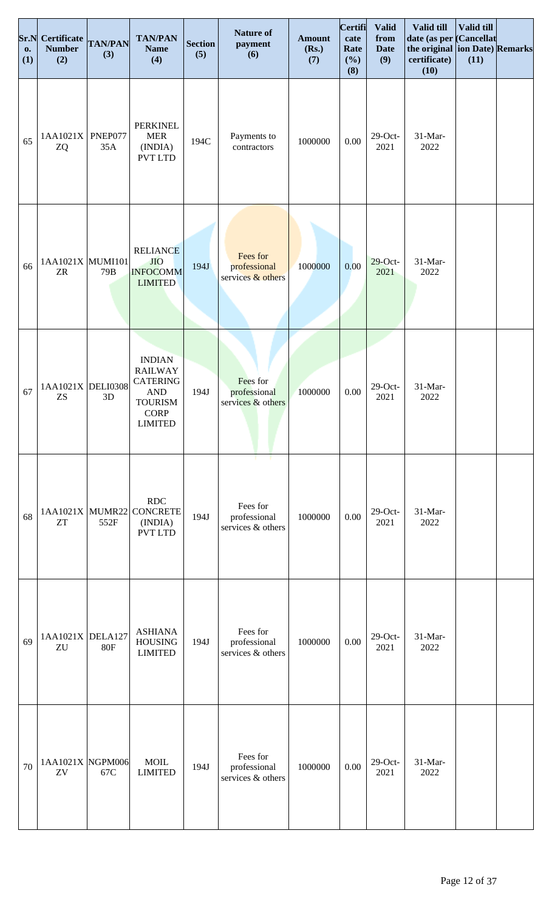| Sr.N<br><b>o.</b><br>(1) | Certificate<br><b>Number</b><br>(2) | <b>TAN/PAN</b><br>(3) | <b>TAN/PAN</b><br><b>Name</b><br>(4)                                                                                    | <b>Section</b><br>(5) | <b>Nature of</b><br>payment<br>(6)            | <b>Amount</b><br>(Rs.)<br>(7) | Certifi<br>cate<br>Rate<br>(%)<br>(8) | <b>Valid</b><br>from<br><b>Date</b><br>(9) | Valid till<br>date (as per Cancellat<br>the original ion Date) Remarks<br>certificate)<br>(10) | Valid till<br>(11) |  |
|--------------------------|-------------------------------------|-----------------------|-------------------------------------------------------------------------------------------------------------------------|-----------------------|-----------------------------------------------|-------------------------------|---------------------------------------|--------------------------------------------|------------------------------------------------------------------------------------------------|--------------------|--|
| 65                       | 1AA1021X<br>ZQ                      | PNEP077<br>35A        | <b>PERKINEL</b><br><b>MER</b><br>(INDIA)<br><b>PVT LTD</b>                                                              | 194C                  | Payments to<br>contractors                    | 1000000                       | 0.00                                  | $29$ -Oct-<br>2021                         | 31-Mar-<br>2022                                                                                |                    |  |
| 66                       | 1AA1021X MUMI101<br><b>ZR</b>       | 79 <sub>B</sub>       | <b>RELIANCE</b><br><b>JIO</b><br><b>INFOCOMM</b><br><b>LIMITED</b>                                                      | 194J                  | Fees for<br>professional<br>services & others | 1000000                       | 0.00                                  | $29$ -Oct-<br>2021                         | 31-Mar-<br>2022                                                                                |                    |  |
| 67                       | 1AA1021X DELI0308<br>ZS             | 3D                    | <b>INDIAN</b><br><b>RAILWAY</b><br><b>CATERING</b><br>$\mathbf{AND}$<br><b>TOURISM</b><br><b>CORP</b><br><b>LIMITED</b> | 194J                  | Fees for<br>professional<br>services & others | 1000000                       | $0.00\,$                              | $29$ -Oct-<br>2021                         | 31-Mar-<br>2022                                                                                |                    |  |
| 68                       | 1AA1021X MUMR22<br><b>ZT</b>        | 552F                  | <b>RDC</b><br><b>CONCRETE</b><br>(INDIA)<br><b>PVT LTD</b>                                                              | 194J                  | Fees for<br>professional<br>services & others | 1000000                       | 0.00                                  | $29$ -Oct-<br>2021                         | 31-Mar-<br>2022                                                                                |                    |  |
| 69                       | 1AA1021X DELA127<br>ZU              | <b>80F</b>            | <b>ASHIANA</b><br><b>HOUSING</b><br><b>LIMITED</b>                                                                      | 194J                  | Fees for<br>professional<br>services & others | 1000000                       | 0.00                                  | $29$ -Oct-<br>2021                         | 31-Mar-<br>2022                                                                                |                    |  |
| 70                       | 1AA1021X NGPM006<br>ZV              | 67C                   | <b>MOIL</b><br><b>LIMITED</b>                                                                                           | 194J                  | Fees for<br>professional<br>services & others | 1000000                       | 0.00                                  | $29$ -Oct-<br>2021                         | 31-Mar-<br>2022                                                                                |                    |  |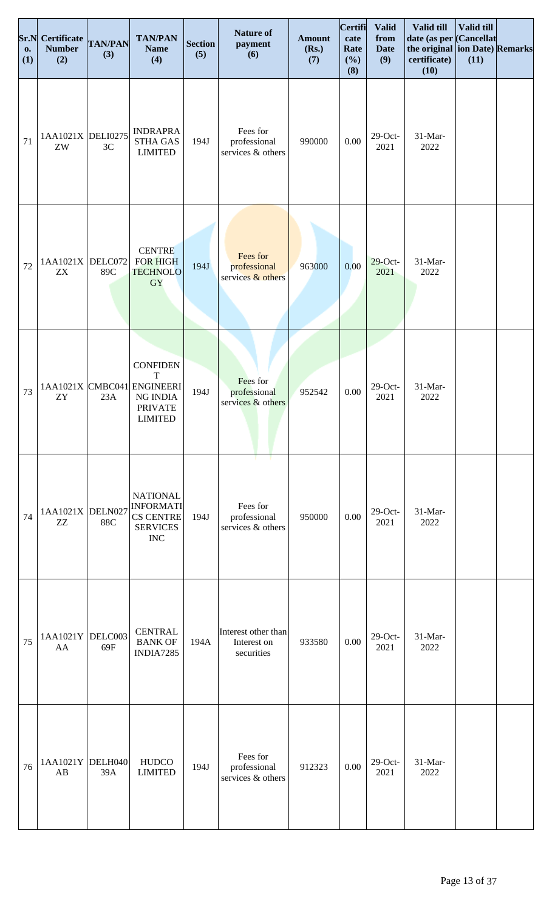| Sr.N<br><b>o.</b><br>(1) | Certificate TAN/PAN<br><b>Number</b><br>(2) | (3) | <b>TAN/PAN</b><br><b>Name</b><br>(4)                                                                         | <b>Section</b><br>(5) | <b>Nature of</b><br>payment<br>(6)               | <b>Amount</b><br>(Rs.)<br>(7) | <b>Certifi</b><br>cate<br>Rate<br>(%)<br>(8) | <b>Valid</b><br>from<br><b>Date</b><br>(9) | Valid till<br>date (as per Cancellat<br>the original ion Date) Remarks<br>certificate)<br>(10) | Valid till<br>(11) |  |
|--------------------------|---------------------------------------------|-----|--------------------------------------------------------------------------------------------------------------|-----------------------|--------------------------------------------------|-------------------------------|----------------------------------------------|--------------------------------------------|------------------------------------------------------------------------------------------------|--------------------|--|
| 71                       | 1AA1021X DELI0275<br>ZW                     | 3C  | <b>INDRAPRA</b><br><b>STHA GAS</b><br><b>LIMITED</b>                                                         | 194J                  | Fees for<br>professional<br>services & others    | 990000                        | 0.00                                         | $29$ -Oct-<br>2021                         | 31-Mar-<br>2022                                                                                |                    |  |
| 72                       | $1AA1021X$ DELC072<br><b>ZX</b>             | 89C | <b>CENTRE</b><br><b>FOR HIGH</b><br><b>TECHNOLO</b><br>GY                                                    | 194J                  | Fees for<br>professional<br>services & others    | 963000                        | 0.00                                         | $29$ -Oct-<br>2021                         | 31-Mar-<br>2022                                                                                |                    |  |
| 73                       | ZY                                          | 23A | <b>CONFIDEN</b><br>$\mathbf T$<br>1AA1021X CMBC041 ENGINEERI<br>NG INDIA<br><b>PRIVATE</b><br><b>LIMITED</b> | 194J                  | Fees for<br>professional<br>services & others    | 952542                        | $0.00\,$                                     | $29$ -Oct-<br>2021                         | 31-Mar-<br>2022                                                                                |                    |  |
| 74                       | 1AA1021X DELN027<br>ZZ                      | 88C | <b>NATIONAL</b><br>INFORMATI<br><b>CS CENTRE</b><br><b>SERVICES</b><br><b>INC</b>                            | 194J                  | Fees for<br>professional<br>services & others    | 950000                        | 0.00                                         | $29$ -Oct-<br>2021                         | 31-Mar-<br>2022                                                                                |                    |  |
| 75                       | 1AA1021Y DELC003<br>AA                      | 69F | <b>CENTRAL</b><br><b>BANK OF</b><br>INDIA7285                                                                | 194A                  | Interest other than<br>Interest on<br>securities | 933580                        | 0.00                                         | $29$ -Oct-<br>2021                         | 31-Mar-<br>2022                                                                                |                    |  |
| 76                       | 1AA1021Y DELH040<br>AB                      | 39A | <b>HUDCO</b><br><b>LIMITED</b>                                                                               | 194J                  | Fees for<br>professional<br>services & others    | 912323                        | 0.00                                         | $29$ -Oct-<br>2021                         | 31-Mar-<br>2022                                                                                |                    |  |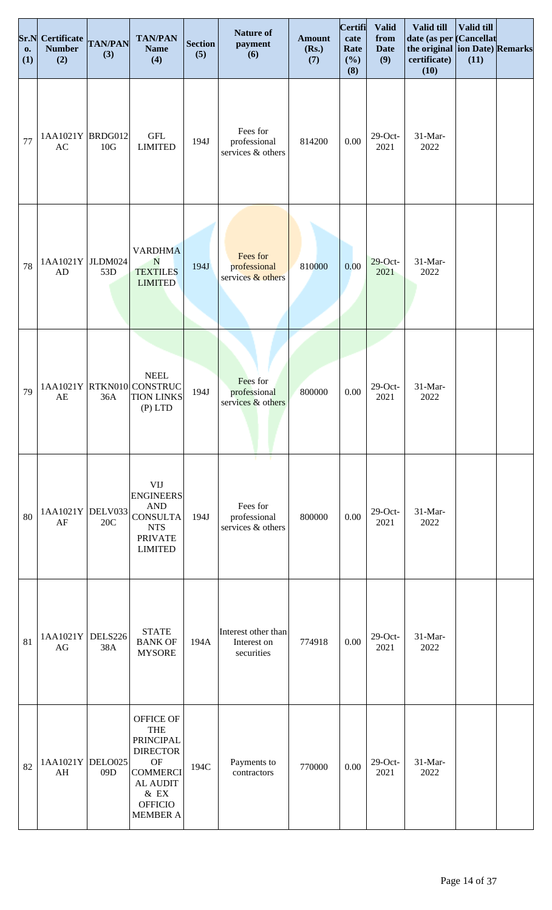| Sr.N<br><b>o.</b><br>(1) | Certificate TAN/PAN<br><b>Number</b><br>(2) | (3)                   | <b>TAN/PAN</b><br><b>Name</b><br>(4)                                                                                                                                     | <b>Section</b><br>(5) | <b>Nature of</b><br>payment<br>(6)               | <b>Amount</b><br>(Rs.)<br>(7) | <b>Certifi</b><br>cate<br>Rate<br>(%)<br>(8) | <b>Valid</b><br>from<br><b>Date</b><br>(9) | Valid till<br>date (as per Cancellat<br>the original ion Date) Remarks<br>certificate)<br>(10) | Valid till<br>(11) |  |
|--------------------------|---------------------------------------------|-----------------------|--------------------------------------------------------------------------------------------------------------------------------------------------------------------------|-----------------------|--------------------------------------------------|-------------------------------|----------------------------------------------|--------------------------------------------|------------------------------------------------------------------------------------------------|--------------------|--|
| 77                       | 1AA1021Y BRDG012<br>AC                      | 10G                   | $\operatorname{GFL}$<br><b>LIMITED</b>                                                                                                                                   | 194J                  | Fees for<br>professional<br>services & others    | 814200                        | 0.00                                         | $29$ -Oct-<br>2021                         | 31-Mar-<br>2022                                                                                |                    |  |
| 78                       | 1AA1021Y JLDM024<br>AD                      | 53D                   | <b>VARDHMA</b><br>N<br><b>TEXTILES</b><br><b>LIMITED</b>                                                                                                                 | 194J                  | Fees for<br>professional<br>services & others    | 810000                        | 0.00                                         | $29$ -Oct-<br>2021                         | 31-Mar-<br>2022                                                                                |                    |  |
| 79                       | AE                                          | 36A                   | <b>NEEL</b><br>1AA1021Y RTKN010 CONSTRUC<br><b>TION LINKS</b><br>$(P)$ LTD                                                                                               | 194J                  | Fees for<br>professional<br>services & others    | 800000                        | 0.00                                         | $29$ -Oct-<br>2021                         | 31-Mar-<br>2022                                                                                |                    |  |
| 80                       | 1AA1021Y DELV033<br>AF                      | 20C                   | <b>VIJ</b><br><b>ENGINEERS</b><br><b>AND</b><br><b>CONSULTA</b><br><b>NTS</b><br><b>PRIVATE</b><br><b>LIMITED</b>                                                        | 194J                  | Fees for<br>professional<br>services & others    | 800000                        | 0.00                                         | $29$ -Oct-<br>2021                         | 31-Mar-<br>2022                                                                                |                    |  |
| 81                       | 1AA1021Y<br>AG                              | <b>DELS226</b><br>38A | <b>STATE</b><br><b>BANK OF</b><br><b>MYSORE</b>                                                                                                                          | 194A                  | Interest other than<br>Interest on<br>securities | 774918                        | 0.00                                         | $29$ -Oct-<br>2021                         | 31-Mar-<br>2022                                                                                |                    |  |
| 82                       | 1AA1021Y DELO025<br>AH                      | 09 <sub>D</sub>       | <b>OFFICE OF</b><br><b>THE</b><br><b>PRINCIPAL</b><br><b>DIRECTOR</b><br><b>OF</b><br><b>COMMERCI</b><br><b>AL AUDIT</b><br>$\&$ EX<br><b>OFFICIO</b><br><b>MEMBER A</b> | 194C                  | Payments to<br>contractors                       | 770000                        | 0.00                                         | $29$ -Oct-<br>2021                         | 31-Mar-<br>2022                                                                                |                    |  |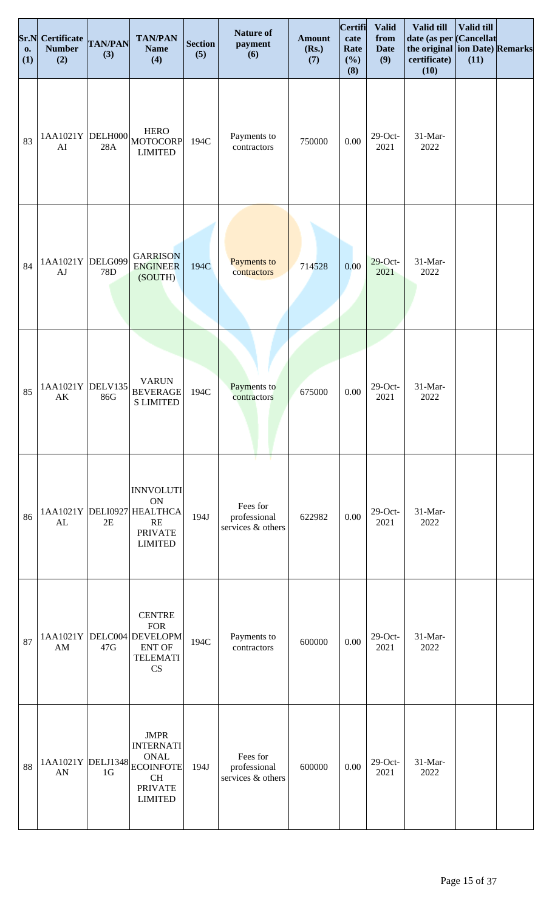| Sr.N<br><b>o.</b><br>(1) | Certificate<br><b>Number</b><br>(2) | <b>TAN/PAN</b><br>(3) | <b>TAN/PAN</b><br><b>Name</b><br>(4)                                                                                | <b>Section</b><br>(5) | <b>Nature of</b><br>payment<br>(6)                  | <b>Amount</b><br>(Rs.)<br>(7) | Certifi<br>cate<br>Rate<br>(%)<br>(8) | <b>Valid</b><br>from<br><b>Date</b><br>(9) | Valid till<br>date (as per Cancellat<br>the original ion Date) Remarks<br>certificate)<br>(10) | Valid till<br>(11) |  |
|--------------------------|-------------------------------------|-----------------------|---------------------------------------------------------------------------------------------------------------------|-----------------------|-----------------------------------------------------|-------------------------------|---------------------------------------|--------------------------------------------|------------------------------------------------------------------------------------------------|--------------------|--|
| 83                       | 1AA1021Y<br>AI                      | DELH000<br>28A        | <b>HERO</b><br>MOTOCORP<br><b>LIMITED</b>                                                                           | 194C                  | Payments to<br>contractors                          | 750000                        | $0.00\,$                              | $29$ -Oct-<br>2021                         | $31-Mar-$<br>2022                                                                              |                    |  |
| 84                       | 1AA1021Y<br>AJ                      | DELG099<br>78D        | <b>GARRISON</b><br><b>ENGINEER</b><br>(SOUTH)                                                                       | 194C                  | Payments to<br>contractors                          | 714528                        | 0.00                                  | $29$ -Oct-<br>2021                         | 31-Mar-<br>2022                                                                                |                    |  |
| 85                       | 1AA1021Y<br>AK                      | <b>DELV135</b><br>86G | <b>VARUN</b><br><b>BEVERAGE</b><br><b>S LIMITED</b>                                                                 | 194C                  | Payments to<br>contractors                          | 675000                        | $0.00\,$                              | $29$ -Oct-<br>2021                         | 31-Mar-<br>2022                                                                                |                    |  |
| 86                       | AL                                  | 2E                    | <b>INNVOLUTI</b><br><b>ON</b><br>1AA1021Y DELI0927 HEALTHCA<br>RE<br><b>PRIVATE</b><br><b>LIMITED</b>               | 194J                  | т.<br>Fees for<br>professional<br>services & others | 622982                        | 0.00                                  | $29$ -Oct-<br>2021                         | 31-Mar-<br>2022                                                                                |                    |  |
| 87                       | 1AA1021Y<br>AM                      | 47G                   | <b>CENTRE</b><br><b>FOR</b><br>DELC004 DEVELOPM<br><b>ENT OF</b><br><b>TELEMATI</b><br>CS                           | 194C                  | Payments to<br>contractors                          | 600000                        | 0.00                                  | $29$ -Oct-<br>2021                         | 31-Mar-<br>2022                                                                                |                    |  |
| 88                       | 1AA1021Y DELJ1348<br>AN             | 1 <sub>G</sub>        | <b>JMPR</b><br><b>INTERNATI</b><br><b>ONAL</b><br><b>ECOINFOTE</b><br><b>CH</b><br><b>PRIVATE</b><br><b>LIMITED</b> | 194J                  | Fees for<br>professional<br>services & others       | 600000                        | 0.00                                  | $29$ -Oct-<br>2021                         | 31-Mar-<br>2022                                                                                |                    |  |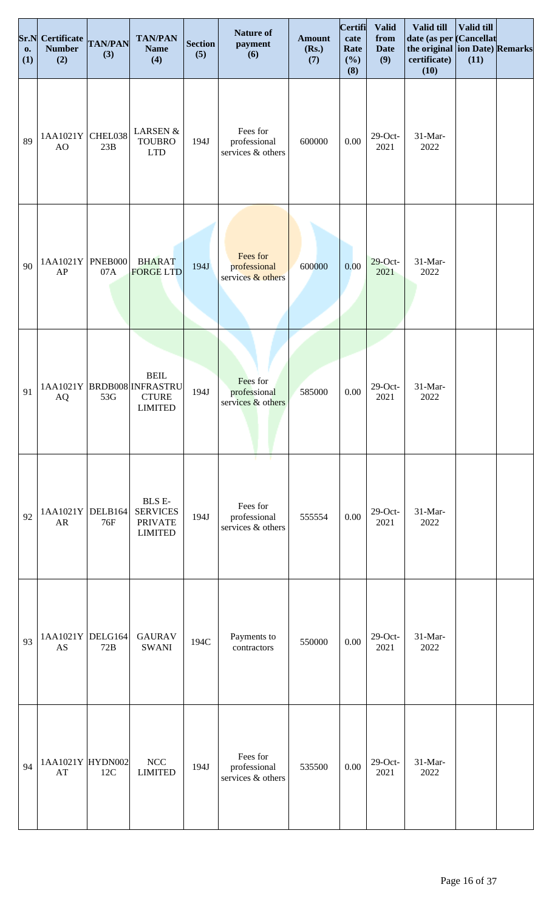| <b>o.</b><br>(1) | <b>Sr.N</b> Certificate<br><b>Number</b><br>(2) | <b>TAN/PAN</b><br>(3) | <b>TAN/PAN</b><br><b>Name</b><br>(4)                                        | <b>Section</b><br>(5) | <b>Nature of</b><br>payment<br>(6)              | <b>Amount</b><br>(Rs.)<br>(7) | <b>Certifi</b><br>cate<br>Rate<br>(%)<br>(8) | <b>Valid</b><br>from<br><b>Date</b><br>(9) | Valid till<br>date (as per Cancellat<br>the original ion Date) Remarks<br>certificate)<br>(10) | <b>Valid till</b><br>(11) |  |
|------------------|-------------------------------------------------|-----------------------|-----------------------------------------------------------------------------|-----------------------|-------------------------------------------------|-------------------------------|----------------------------------------------|--------------------------------------------|------------------------------------------------------------------------------------------------|---------------------------|--|
| 89               | 1AA1021Y<br>AO                                  | CHEL038<br>23B        | <b>LARSEN &amp;</b><br><b>TOUBRO</b><br><b>LTD</b>                          | 194J                  | Fees for<br>professional<br>services & others   | 600000                        | 0.00                                         | $29$ -Oct-<br>2021                         | 31-Mar-<br>2022                                                                                |                           |  |
| 90               | 1AA1021Y<br>AP                                  | PNEB000<br>07A        | <b>BHARAT</b><br><b>FORGE LTD</b>                                           | 194J                  | Fees for<br>professional<br>services $&$ others | 600000                        | 0.00                                         | $29$ -Oct-<br>2021                         | 31-Mar-<br>2022                                                                                |                           |  |
| 91               | AQ                                              | 53G                   | <b>BEIL</b><br>1AA1021Y BRDB008 INFRASTRU<br><b>CTURE</b><br><b>LIMITED</b> | 194J                  | Fees for<br>professional<br>services & others   | 585000                        | $0.00\,$                                     | $29$ -Oct-<br>2021                         | $31-Mar-$<br>2022                                                                              |                           |  |
| 92               | 1AA1021Y<br>AR                                  | DELB164<br>76F        | BLS E-<br><b>SERVICES</b><br><b>PRIVATE</b><br><b>LIMITED</b>               | 194J                  | Fees for<br>professional<br>services & others   | 555554                        | 0.00                                         | $29$ -Oct-<br>2021                         | 31-Mar-<br>2022                                                                                |                           |  |
| 93               | 1AA1021Y<br>AS                                  | DELG164<br>72B        | <b>GAURAV</b><br><b>SWANI</b>                                               | 194C                  | Payments to<br>contractors                      | 550000                        | $0.00\,$                                     | $29$ -Oct-<br>2021                         | 31-Mar-<br>2022                                                                                |                           |  |
| 94               | 1AA1021Y HYDN002<br>AT                          | 12C                   | $\rm NCC$<br><b>LIMITED</b>                                                 | 194J                  | Fees for<br>professional<br>services & others   | 535500                        | 0.00                                         | $29$ -Oct-<br>2021                         | 31-Mar-<br>2022                                                                                |                           |  |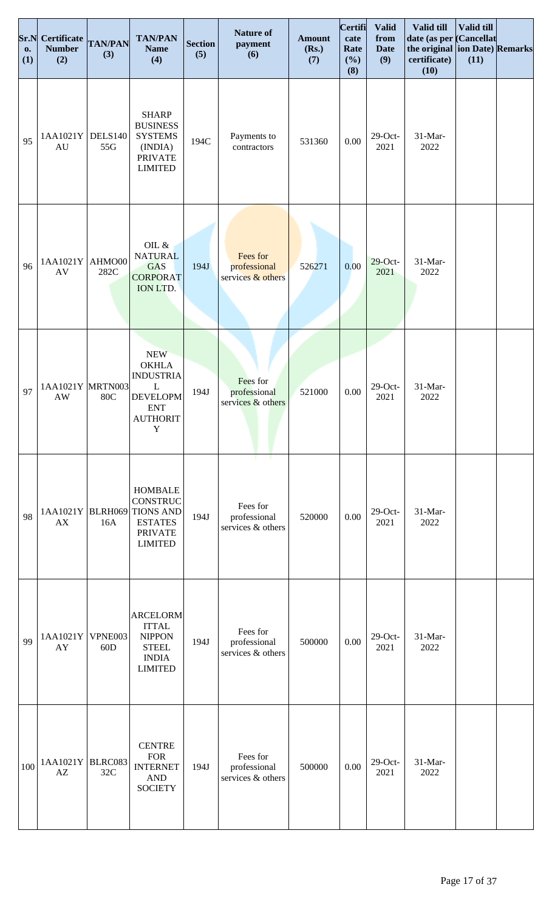| Sr.N<br><b>o.</b><br>(1) | Certificate<br><b>Number</b><br>(2)        | <b>TAN/PAN</b><br>(3) | <b>TAN/PAN</b><br><b>Name</b><br>(4)                                                                                   | <b>Section</b><br>(5) | <b>Nature of</b><br>payment<br>(6)                  | <b>Amount</b><br>(Rs.)<br>(7) | <b>Certifi</b><br>cate<br>Rate<br>(%)<br>(8) | <b>Valid</b><br>from<br><b>Date</b><br>(9) | Valid till<br>date (as per<br>the original ion Date) Remarks<br>certificate)<br>(10) | Valid till<br><b>Cancellat</b><br>(11) |  |
|--------------------------|--------------------------------------------|-----------------------|------------------------------------------------------------------------------------------------------------------------|-----------------------|-----------------------------------------------------|-------------------------------|----------------------------------------------|--------------------------------------------|--------------------------------------------------------------------------------------|----------------------------------------|--|
| 95                       | 1AA1021Y<br>$\mathrm{AU}$                  | <b>DELS140</b><br>55G | <b>SHARP</b><br><b>BUSINESS</b><br><b>SYSTEMS</b><br>(INDIA)<br><b>PRIVATE</b><br><b>LIMITED</b>                       | 194C                  | Payments to<br>contractors                          | 531360                        | $0.00\,$                                     | $29$ -Oct-<br>2021                         | 31-Mar-<br>2022                                                                      |                                        |  |
| 96                       | 1AA1021Y<br>AV                             | AHMO00<br>282C        | OIL $\&$<br><b>NATURAL</b><br><b>GAS</b><br><b>CORPORAT</b><br>ION LTD.                                                | 194J                  | Fees for<br>professional<br>services $&$ others     | 526271                        | 0.00                                         | $29$ -Oct-<br>2021                         | 31-Mar-<br>2022                                                                      |                                        |  |
| 97                       | 1AA1021Y MRTN003<br>$\mathbf{A}\mathbf{W}$ | <b>80C</b>            | <b>NEW</b><br><b>OKHLA</b><br><b>INDUSTRIA</b><br>L<br><b>DEVELOPM</b><br><b>ENT</b><br><b>AUTHORIT</b><br>$\mathbf Y$ | 194J                  | Fees for<br>professional<br>services & others       | 521000                        | $0.00\,$                                     | $29$ -Oct-<br>2021                         | 31-Mar-<br>2022                                                                      |                                        |  |
| 98                       | 1AA1021Y BLRH069<br>AX                     | 16A                   | <b>HOMBALE</b><br><b>CONSTRUC</b><br><b>TIONS AND</b><br><b>ESTATES</b><br><b>PRIVATE</b><br><b>LIMITED</b>            | 194J                  | т.<br>Fees for<br>professional<br>services & others | 520000                        | 0.00                                         | $29$ -Oct-<br>2021                         | 31-Mar-<br>2022                                                                      |                                        |  |
| 99                       | 1AA1021Y<br>AY                             | VPNE003<br>60D        | <b>ARCELORM</b><br><b>ITTAL</b><br><b>NIPPON</b><br><b>STEEL</b><br><b>INDIA</b><br><b>LIMITED</b>                     | 194J                  | Fees for<br>professional<br>services & others       | 500000                        | 0.00                                         | $29$ -Oct-<br>2021                         | 31-Mar-<br>2022                                                                      |                                        |  |
| 100                      | 1AA1021Y BLRC083<br>AZ                     | 32C                   | <b>CENTRE</b><br><b>FOR</b><br><b>INTERNET</b><br><b>AND</b><br><b>SOCIETY</b>                                         | 194J                  | Fees for<br>professional<br>services & others       | 500000                        | 0.00                                         | $29$ -Oct-<br>2021                         | 31-Mar-<br>2022                                                                      |                                        |  |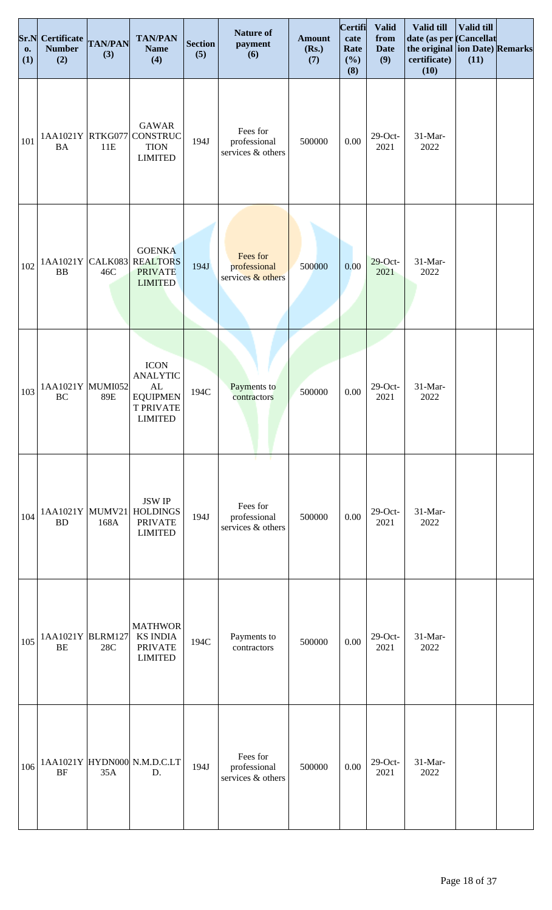| Sr.N<br><b>o.</b><br>(1) | <b>Certificate</b><br><b>Number</b><br>(2) | <b>TAN/PAN</b><br>(3) | <b>TAN/PAN</b><br><b>Name</b><br>(4)                                                                     | <b>Section</b><br>(5) | <b>Nature of</b><br>payment<br>(6)              | <b>Amount</b><br>(Rs.)<br>(7) | Certifi<br>cate<br>Rate<br>(%)<br>(8) | <b>Valid</b><br>from<br><b>Date</b><br>(9) | Valid till<br>date (as per Cancellat<br>the original ion Date) Remarks<br>certificate)<br>(10) | Valid till<br>(11) |  |
|--------------------------|--------------------------------------------|-----------------------|----------------------------------------------------------------------------------------------------------|-----------------------|-------------------------------------------------|-------------------------------|---------------------------------------|--------------------------------------------|------------------------------------------------------------------------------------------------|--------------------|--|
| 101                      | 1AA1021Y RTKG077<br><b>BA</b>              | 11E                   | <b>GAWAR</b><br><b>CONSTRUC</b><br><b>TION</b><br><b>LIMITED</b>                                         | 194J                  | Fees for<br>professional<br>services & others   | 500000                        | 0.00                                  | $29$ -Oct-<br>2021                         | 31-Mar-<br>2022                                                                                |                    |  |
| 102                      | 1AA1021Y<br><b>BB</b>                      | CALK083<br>46C        | <b>GOENKA</b><br><b>REALTORS</b><br><b>PRIVATE</b><br><b>LIMITED</b>                                     | 194J                  | Fees for<br>professional<br>services $&$ others | 500000                        | 0.00                                  | $29$ -Oct-<br>2021                         | 31-Mar-<br>2022                                                                                |                    |  |
| 103                      | 1AA1021Y MUMI052<br>BC                     | 89E                   | <b>ICON</b><br><b>ANALYTIC</b><br>$\mathbf{AL}$<br><b>EQUIPMEN</b><br><b>T PRIVATE</b><br><b>LIMITED</b> | 194C                  | Payments to<br>contractors                      | 500000                        | $0.00\,$                              | $29$ -Oct-<br>2021                         | 31-Mar-<br>2022                                                                                |                    |  |
| 104                      | 1AA1021Y MUMV21<br>BD                      | 168A                  | <b>JSW IP</b><br><b>HOLDINGS</b><br><b>PRIVATE</b><br><b>LIMITED</b>                                     | 194J                  | Fees for<br>professional<br>services & others   | 500000                        | 0.00                                  | $29$ -Oct-<br>2021                         | 31-Mar-<br>2022                                                                                |                    |  |
| 105                      | 1AA1021Y BLRM127<br><b>BE</b>              | 28C                   | <b>MATHWOR</b><br><b>KS INDIA</b><br><b>PRIVATE</b><br><b>LIMITED</b>                                    | 194C                  | Payments to<br>contractors                      | 500000                        | 0.00                                  | $29$ -Oct-<br>2021                         | 31-Mar-<br>2022                                                                                |                    |  |
| 106                      | <b>BF</b>                                  | 35A                   | 1AA1021Y HYDN000 N.M.D.C.LT<br>D.                                                                        | 194J                  | Fees for<br>professional<br>services & others   | 500000                        | 0.00                                  | $29$ -Oct-<br>2021                         | 31-Mar-<br>2022                                                                                |                    |  |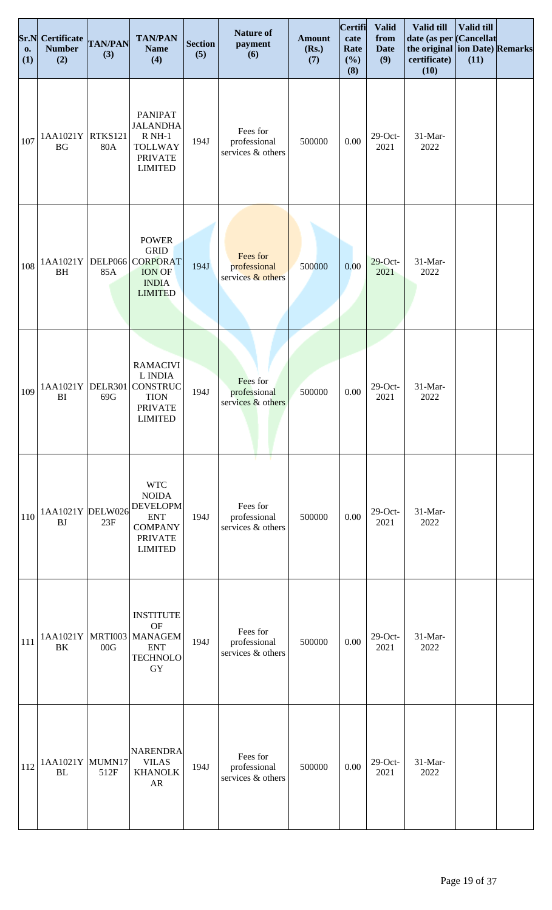| Sr.N<br>0.<br>(1) | <b>Certificate</b><br><b>Number</b><br>(2) | <b>TAN/PAN</b><br>(3)        | <b>TAN/PAN</b><br><b>Name</b><br>(4)                                                                              | <b>Section</b><br>(5) | <b>Nature of</b><br>payment<br>(6)                  | <b>Amount</b><br>(Rs.)<br>(7) | <b>Certifi</b><br>cate<br>Rate<br>(%)<br>(8) | <b>Valid</b><br>from<br><b>Date</b><br>(9) | Valid till<br>date (as per Cancellat<br>the original ion Date) Remarks<br>certificate)<br>(10) | Valid till<br>(11) |  |
|-------------------|--------------------------------------------|------------------------------|-------------------------------------------------------------------------------------------------------------------|-----------------------|-----------------------------------------------------|-------------------------------|----------------------------------------------|--------------------------------------------|------------------------------------------------------------------------------------------------|--------------------|--|
| 107               | 1AA1021Y<br><b>BG</b>                      | <b>RTKS121</b><br><b>80A</b> | <b>PANIPAT</b><br><b>JALANDHA</b><br>$RNH-1$<br><b>TOLLWAY</b><br><b>PRIVATE</b><br><b>LIMITED</b>                | 194J                  | Fees for<br>professional<br>services & others       | 500000                        | 0.00                                         | $29$ -Oct-<br>2021                         | 31-Mar-<br>2022                                                                                |                    |  |
| 108               | 1AA1021Y<br><b>BH</b>                      | 85A                          | <b>POWER</b><br><b>GRID</b><br>DELP066 CORPORAT<br><b>ION OF</b><br><b>INDIA</b><br><b>LIMITED</b>                | 194J                  | Fees for<br>professional<br>services & others       | 500000                        | 0.00                                         | $29$ -Oct-<br>2021                         | 31-Mar-<br>2022                                                                                |                    |  |
| 109               | 1AA1021Y<br>BI                             | DELR301<br>69G               | <b>RAMACIVI</b><br>L INDIA<br><b>CONSTRUC</b><br><b>TION</b><br><b>PRIVATE</b><br><b>LIMITED</b>                  | 194J                  | Fees for<br>professional<br>services & others       | 500000                        | $0.00\,$                                     | $29$ -Oct-<br>2021                         | 31-Mar-<br>2022                                                                                |                    |  |
| 110               | 1AA1021Y DELW026<br><b>BJ</b>              | 23F                          | <b>WTC</b><br><b>NOIDA</b><br><b>DEVELOPM</b><br><b>ENT</b><br><b>COMPANY</b><br><b>PRIVATE</b><br><b>LIMITED</b> | 194J                  | т.<br>Fees for<br>professional<br>services & others | 500000                        | 0.00                                         | $29$ -Oct-<br>2021                         | 31-Mar-<br>2022                                                                                |                    |  |
| 111               | 1AA1021Y<br>BK                             | MRTI003<br>00G               | <b>INSTITUTE</b><br><b>OF</b><br><b>MANAGEM</b><br><b>ENT</b><br><b>TECHNOLO</b><br>GY                            | 194J                  | Fees for<br>professional<br>services & others       | 500000                        | 0.00                                         | $29$ -Oct-<br>2021                         | 31-Mar-<br>2022                                                                                |                    |  |
| 112               | 1AA1021Y MUMN17<br><b>BL</b>               | 512F                         | NARENDRA<br><b>VILAS</b><br><b>KHANOLK</b><br>AR                                                                  | 194J                  | Fees for<br>professional<br>services & others       | 500000                        | 0.00                                         | $29$ -Oct-<br>2021                         | 31-Mar-<br>2022                                                                                |                    |  |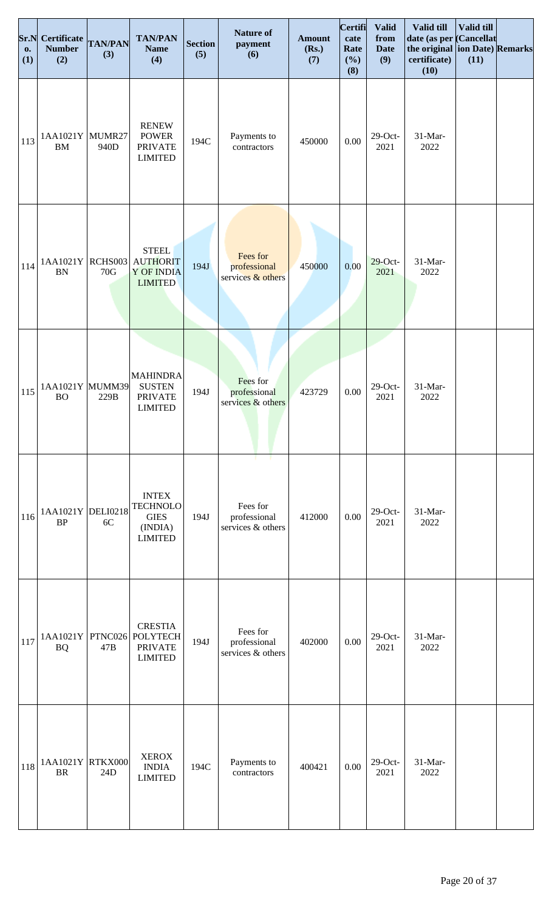| Sr.N<br><b>o.</b><br>(1) | <b>Certificate</b><br><b>Number</b><br>(2) | <b>TAN/PAN</b><br>(3) | <b>TAN/PAN</b><br><b>Name</b><br>(4)                                         | <b>Section</b><br>(5) | <b>Nature of</b><br>payment<br>(6)            | <b>Amount</b><br>(Rs.)<br>(7) | Certifi<br>cate<br>Rate<br>(%)<br>(8) | <b>Valid</b><br>from<br><b>Date</b><br>(9) | Valid till<br>date (as per Cancellat<br>the original ion Date) Remarks<br>certificate)<br>(10) | Valid till<br>(11) |  |
|--------------------------|--------------------------------------------|-----------------------|------------------------------------------------------------------------------|-----------------------|-----------------------------------------------|-------------------------------|---------------------------------------|--------------------------------------------|------------------------------------------------------------------------------------------------|--------------------|--|
| 113                      | 1AA1021Y MUMR27<br><b>BM</b>               | 940D                  | <b>RENEW</b><br><b>POWER</b><br><b>PRIVATE</b><br><b>LIMITED</b>             | 194C                  | Payments to<br>contractors                    | 450000                        | 0.00                                  | $29$ -Oct-<br>2021                         | 31-Mar-<br>2022                                                                                |                    |  |
| 114                      | 1AA1021Y RCHS003<br><b>BN</b>              | 70G                   | <b>STEEL</b><br><b>AUTHORIT</b><br><b>Y OF INDIA</b><br><b>LIMITED</b>       | 194J                  | Fees for<br>professional<br>services & others | 450000                        | 0.00                                  | $29$ -Oct-<br>2021                         | 31-Mar-<br>2022                                                                                |                    |  |
| 115                      | 1AA1021Y MUMM39<br><b>BO</b>               | 229B                  | <b>MAHINDRA</b><br><b>SUSTEN</b><br><b>PRIVATE</b><br><b>LIMITED</b>         | 194J                  | Fees for<br>professional<br>services & others | 423729                        | $0.00\,$                              | $29$ -Oct-<br>2021                         | 31-Mar-<br>2022                                                                                |                    |  |
| 116                      | 1AA1021Y DELI0218<br><b>BP</b>             | 6C                    | <b>INTEX</b><br><b>TECHNOLO</b><br>${\rm GIES}$<br>(INDIA)<br><b>LIMITED</b> | 194J                  | Fees for<br>professional<br>services & others | 412000                        | 0.00                                  | $29$ -Oct-<br>2021                         | 31-Mar-<br>2022                                                                                |                    |  |
| 117                      | 1AA1021Y<br><b>BQ</b>                      | 47B                   | <b>CRESTIA</b><br>PTNC026 POLYTECH<br><b>PRIVATE</b><br><b>LIMITED</b>       | 194J                  | Fees for<br>professional<br>services & others | 402000                        | 0.00                                  | $29$ -Oct-<br>2021                         | 31-Mar-<br>2022                                                                                |                    |  |
| 118                      | 1AA1021Y RTKX000<br><b>BR</b>              | 24D                   | <b>XEROX</b><br><b>INDIA</b><br><b>LIMITED</b>                               | 194C                  | Payments to<br>contractors                    | 400421                        | 0.00                                  | $29$ -Oct-<br>2021                         | 31-Mar-<br>2022                                                                                |                    |  |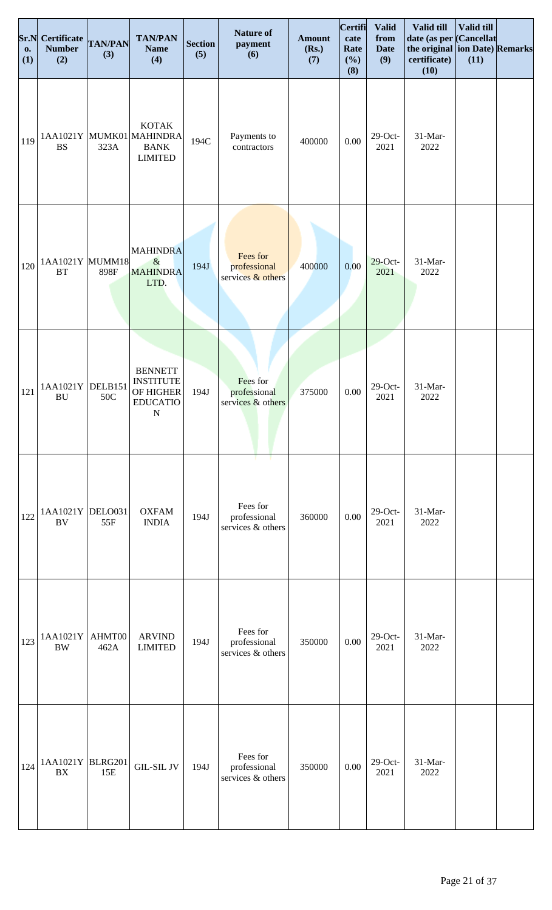| Sr.N<br>0.<br>(1) | Certificate TAN/PAN<br><b>Number</b><br>(2)  | (3)            | <b>TAN/PAN</b><br><b>Name</b><br>(4)                                            | <b>Section</b><br>(5) | <b>Nature of</b><br>payment<br>(6)                         | <b>Amount</b><br>(Rs.)<br>(7) | Certifi<br>cate<br>Rate<br>(%)<br>(8) | <b>Valid</b><br>from<br><b>Date</b><br>(9) | Valid till<br>date (as per<br>the original ion Date) Remarks<br>certificate)<br>(10) | Valid till<br><b>Cancellat</b><br>(11) |  |
|-------------------|----------------------------------------------|----------------|---------------------------------------------------------------------------------|-----------------------|------------------------------------------------------------|-------------------------------|---------------------------------------|--------------------------------------------|--------------------------------------------------------------------------------------|----------------------------------------|--|
| 119               | <b>BS</b>                                    | 323A           | <b>KOTAK</b><br>1AA1021Y MUMK01 MAHINDRA<br><b>BANK</b><br><b>LIMITED</b>       | 194C                  | Payments to<br>contractors                                 | 400000                        | $0.00\,$                              | $29$ -Oct-<br>2021                         | 31-Mar-<br>2022                                                                      |                                        |  |
| 120               | 1AA1021Y MUMM18<br><b>BT</b>                 | 898F           | <b>MAHINDRA</b><br>$\&$<br><b>MAHINDRA</b><br>LTD.                              | 194J                  | Fees for<br>professional<br>services & others              | 400000                        | 0.00                                  | $29$ -Oct-<br>2021                         | 31-Mar-<br>2022                                                                      |                                        |  |
| 121               | $1AA1021Y$ DELB151<br>$\mathbf{B}\mathbf{U}$ | 50C            | <b>BENNETT</b><br><b>INSTITUTE</b><br>OF HIGHER<br><b>EDUCATIO</b><br>${\bf N}$ | 194J                  | Fees for<br>professional<br>services & others              | 375000                        | $0.00\,$                              | $29$ -Oct-<br>2021                         | 31-Mar-<br>2022                                                                      |                                        |  |
| 122               | 1AA1021Y DELO031<br><b>BV</b>                | 55F            | <b>OXFAM</b><br><b>INDIA</b>                                                    | 194J                  | - 1<br>т.<br>Fees for<br>professional<br>services & others | 360000                        | 0.00                                  | $29$ -Oct-<br>2021                         | 31-Mar-<br>2022                                                                      |                                        |  |
| 123               | 1AA1021Y<br>$\rm BW$                         | AHMT00<br>462A | <b>ARVIND</b><br><b>LIMITED</b>                                                 | 194J                  | Fees for<br>professional<br>services & others              | 350000                        | $0.00\,$                              | $29$ -Oct-<br>2021                         | 31-Mar-<br>2022                                                                      |                                        |  |
| 124               | 1AA1021Y BLRG201<br><b>BX</b>                | 15E            | <b>GIL-SIL JV</b>                                                               | 194J                  | Fees for<br>professional<br>services & others              | 350000                        | 0.00                                  | $29$ -Oct-<br>2021                         | 31-Mar-<br>2022                                                                      |                                        |  |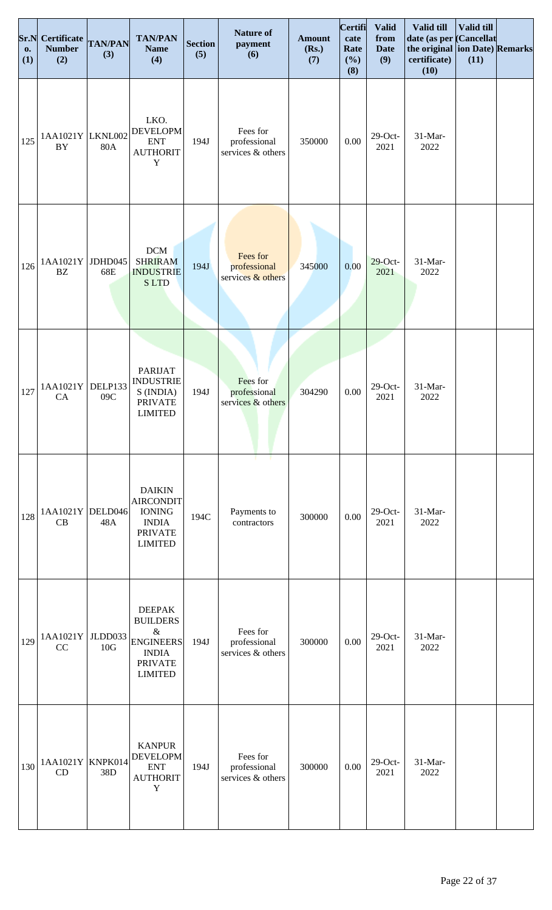| Sr.N<br><b>o.</b><br>(1) | Certificate TAN/PAN<br><b>Number</b><br>(2) | (3)            | <b>TAN/PAN</b><br><b>Name</b><br>(4)                                                                             | <b>Section</b><br>(5) | <b>Nature of</b><br>payment<br>(6)              | <b>Amount</b><br>(Rs.)<br>(7) | <b>Certifi</b><br>cate<br>Rate<br>(%)<br>(8) | <b>Valid</b><br>from<br><b>Date</b><br>(9) | Valid till<br>date (as per Cancellat<br>the original ion Date) Remarks<br>certificate)<br>(10) | Valid till<br>(11) |  |
|--------------------------|---------------------------------------------|----------------|------------------------------------------------------------------------------------------------------------------|-----------------------|-------------------------------------------------|-------------------------------|----------------------------------------------|--------------------------------------------|------------------------------------------------------------------------------------------------|--------------------|--|
| 125                      | 1AA1021Y LKNL002<br>BY                      | 80A            | LKO.<br><b>DEVELOPM</b><br><b>ENT</b><br><b>AUTHORIT</b><br>$\mathbf Y$                                          | 194J                  | Fees for<br>professional<br>services & others   | 350000                        | 0.00                                         | $29$ -Oct-<br>2021                         | 31-Mar-<br>2022                                                                                |                    |  |
| 126                      | 1AA1021Y<br><b>BZ</b>                       | JDHD045<br>68E | $DCM$<br><b>SHRIRAM</b><br><b>INDUSTRIE</b><br><b>SLTD</b>                                                       | 194J                  | Fees for<br>professional<br>services $&$ others | 345000                        | 0.00                                         | $29$ -Oct-<br>2021                         | 31-Mar-<br>2022                                                                                |                    |  |
| 127                      | 1AA1021Y<br>CA                              | DELP133<br>09C | <b>PARIJAT</b><br><b>INDUSTRIE</b><br>S (INDIA)<br><b>PRIVATE</b><br><b>LIMITED</b>                              | 194J                  | Fees for<br>professional<br>services & others   | 304290                        | 0.00                                         | $29$ -Oct-<br>2021                         | 31-Mar-<br>2022                                                                                |                    |  |
| 128                      | 1AA1021Y DELD046<br>CB                      | 48A            | <b>DAIKIN</b><br><b>AIRCONDIT</b><br><b>IONING</b><br><b>INDIA</b><br><b>PRIVATE</b><br><b>LIMITED</b>           | 194C                  | Payments to<br>contractors                      | 300000                        | 0.00                                         | $29$ -Oct-<br>2021                         | 31-Mar-<br>2022                                                                                |                    |  |
| 129                      | 1AA1021Y<br>CC                              | JLDD033<br>10G | <b>DEEPAK</b><br><b>BUILDERS</b><br>$\&$<br><b>ENGINEERS</b><br><b>INDIA</b><br><b>PRIVATE</b><br><b>LIMITED</b> | 194J                  | Fees for<br>professional<br>services & others   | 300000                        | 0.00                                         | $29$ -Oct-<br>2021                         | 31-Mar-<br>2022                                                                                |                    |  |
| 130                      | 1AA1021Y KNPK014<br>CD                      | 38D            | <b>KANPUR</b><br><b>DEVELOPM</b><br><b>ENT</b><br><b>AUTHORIT</b><br>Y                                           | 194J                  | Fees for<br>professional<br>services & others   | 300000                        | 0.00                                         | $29$ -Oct-<br>2021                         | 31-Mar-<br>2022                                                                                |                    |  |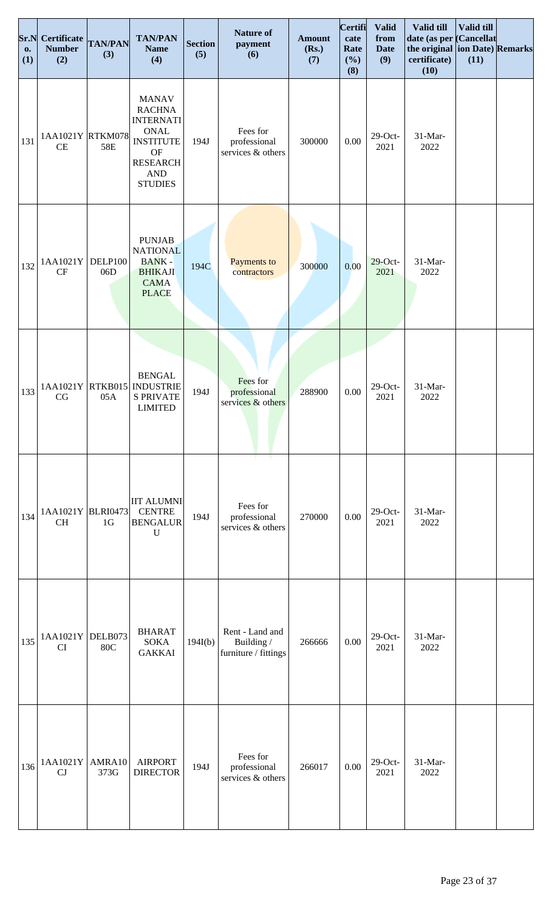| Sr.N<br><b>o.</b><br>(1) | Certificate<br><b>Number</b><br>(2) | <b>TAN/PAN</b><br>(3) | <b>TAN/PAN</b><br><b>Name</b><br>(4)                                                                                                                     | <b>Section</b><br>(5) | <b>Nature of</b><br>payment<br>(6)                    | <b>Amount</b><br>(Rs.)<br>(7) | <b>Certifi</b><br>cate<br>Rate<br>(%)<br>(8) | <b>Valid</b><br>from<br><b>Date</b><br>(9) | <b>Valid till</b><br>date (as per Cancellat<br>the original ion Date) Remarks<br>certificate)<br>(10) | Valid till<br>(11) |  |
|--------------------------|-------------------------------------|-----------------------|----------------------------------------------------------------------------------------------------------------------------------------------------------|-----------------------|-------------------------------------------------------|-------------------------------|----------------------------------------------|--------------------------------------------|-------------------------------------------------------------------------------------------------------|--------------------|--|
| 131                      | 1AA1021Y RTKM078<br>CE              | 58E                   | <b>MANAV</b><br><b>RACHNA</b><br><b>INTERNATI</b><br><b>ONAL</b><br><b>INSTITUTE</b><br><b>OF</b><br><b>RESEARCH</b><br>$\mathbf{AND}$<br><b>STUDIES</b> | 194J                  | Fees for<br>professional<br>services & others         | 300000                        | 0.00                                         | $29$ -Oct-<br>2021                         | 31-Mar-<br>2022                                                                                       |                    |  |
| 132                      | 1AA1021Y<br><b>CF</b>               | DELP100<br>06D        | <b>PUNJAB</b><br><b>NATIONAL</b><br><b>BANK-</b><br><b>BHIKAJI</b><br><b>CAMA</b><br><b>PLACE</b>                                                        | 194C                  | Payments to<br>contractors                            | 300000                        | 0.00                                         | $29$ -Oct-<br>2021                         | 31-Mar-<br>2022                                                                                       |                    |  |
| 133                      | 1AA1021Y<br>$\rm{CG}$               | 05A                   | <b>BENGAL</b><br>RTKB015 NDUSTRIE<br><b>S PRIVATE</b><br><b>LIMITED</b>                                                                                  | 194J                  | Fees for<br>professional<br>services & others         | 288900                        | $0.00\,$                                     | $29$ -Oct-<br>2021                         | 31-Mar-<br>2022                                                                                       |                    |  |
| 134                      | 1AA1021Y BLRI0473<br><b>CH</b>      | 1 <sub>G</sub>        | <b>IIT ALUMNI</b><br><b>CENTRE</b><br><b>BENGALUR</b><br>$\mathbf U$                                                                                     | 194J                  | T.<br>Fees for<br>professional<br>services & others   | 270000                        | 0.00                                         | $29$ -Oct-<br>2021                         | 31-Mar-<br>2022                                                                                       |                    |  |
| 135                      | 1AA1021Y DELB073<br>CI              | <b>80C</b>            | <b>BHARAT</b><br><b>SOKA</b><br><b>GAKKAI</b>                                                                                                            | 194I(b)               | Rent - Land and<br>Building /<br>furniture / fittings | 266666                        | 0.00                                         | $29$ -Oct-<br>2021                         | 31-Mar-<br>2022                                                                                       |                    |  |
| 136                      | 1AA1021Y<br>CJ                      | AMRA10<br>373G        | <b>AIRPORT</b><br><b>DIRECTOR</b>                                                                                                                        | 194J                  | Fees for<br>professional<br>services & others         | 266017                        | 0.00                                         | $29$ -Oct-<br>2021                         | 31-Mar-<br>2022                                                                                       |                    |  |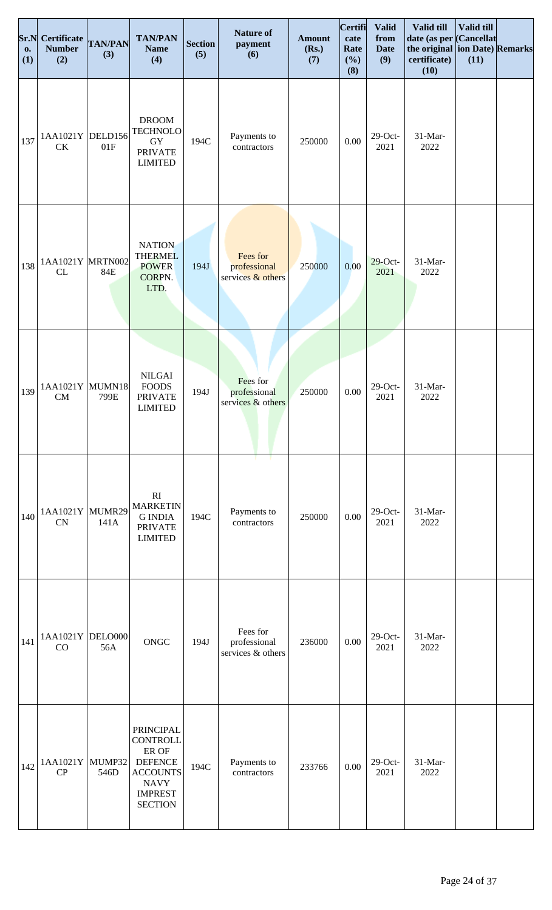| Sr.N<br>$\mathbf{0}$ .<br>(1) | Certificate TAN/PAN<br><b>Number</b><br>(2) | (3)  | <b>TAN/PAN</b><br><b>Name</b><br>(4)                                                                                                 | <b>Section</b><br>(5) | <b>Nature of</b><br>payment<br>(6)            | <b>Amount</b><br>(Rs.)<br>(7) | <b>Certifi</b><br>cate<br>Rate<br>(%)<br>(8) | <b>Valid</b><br>from<br><b>Date</b><br>(9) | Valid till<br>date (as per Cancellat<br>the original ion Date) Remarks<br>certificate)<br>(10) | <b>Valid till</b><br>(11) |  |
|-------------------------------|---------------------------------------------|------|--------------------------------------------------------------------------------------------------------------------------------------|-----------------------|-----------------------------------------------|-------------------------------|----------------------------------------------|--------------------------------------------|------------------------------------------------------------------------------------------------|---------------------------|--|
| 137                           | 1AA1021Y DELD156<br>CK                      | 01F  | <b>DROOM</b><br><b>TECHNOLO</b><br>${\rm GY}$<br><b>PRIVATE</b><br><b>LIMITED</b>                                                    | 194C                  | Payments to<br>contractors                    | 250000                        | $0.00\,$                                     | $29$ -Oct-<br>2021                         | 31-Mar-<br>2022                                                                                |                           |  |
| 138                           | 1AA1021Y MRTN002<br>CL                      | 84E  | <b>NATION</b><br><b>THERMEL</b><br><b>POWER</b><br>CORPN.<br>LTD.                                                                    | 194J                  | Fees for<br>professional<br>services & others | 250000                        | 0.00                                         | $29$ -Oct-<br>2021                         | 31-Mar-<br>2022                                                                                |                           |  |
| 139                           | 1AA1021Y MUMN18<br>${\rm CM}$               | 799E | $\rm NILGAI$<br><b>FOODS</b><br><b>PRIVATE</b><br><b>LIMITED</b>                                                                     | 194J                  | Fees for<br>professional<br>services & others | 250000                        | $0.00\,$                                     | $29$ -Oct-<br>2021                         | 31-Mar-<br>2022                                                                                |                           |  |
| 140                           | 1AA1021Y MUMR29<br><b>CN</b>                | 141A | RI<br><b>MARKETIN</b><br><b>G INDIA</b><br><b>PRIVATE</b><br><b>LIMITED</b>                                                          | 194C                  | - 11<br>т.<br>Payments to<br>contractors      | 250000                        | 0.00                                         | $29$ -Oct-<br>2021                         | $31-Mar-$<br>2022                                                                              |                           |  |
| 141                           | 1AA1021Y DELO000<br>CO                      | 56A  | ONGC                                                                                                                                 | 194J                  | Fees for<br>professional<br>services & others | 236000                        | $0.00\,$                                     | $29$ -Oct-<br>2021                         | $31-Mar-$<br>2022                                                                              |                           |  |
| 142                           | 1AA1021Y MUMP32<br>CP                       | 546D | <b>PRINCIPAL</b><br><b>CONTROLL</b><br>ER OF<br><b>DEFENCE</b><br><b>ACCOUNTS</b><br><b>NAVY</b><br><b>IMPREST</b><br><b>SECTION</b> | 194C                  | Payments to<br>contractors                    | 233766                        | 0.00                                         | $29$ -Oct-<br>2021                         | 31-Mar-<br>2022                                                                                |                           |  |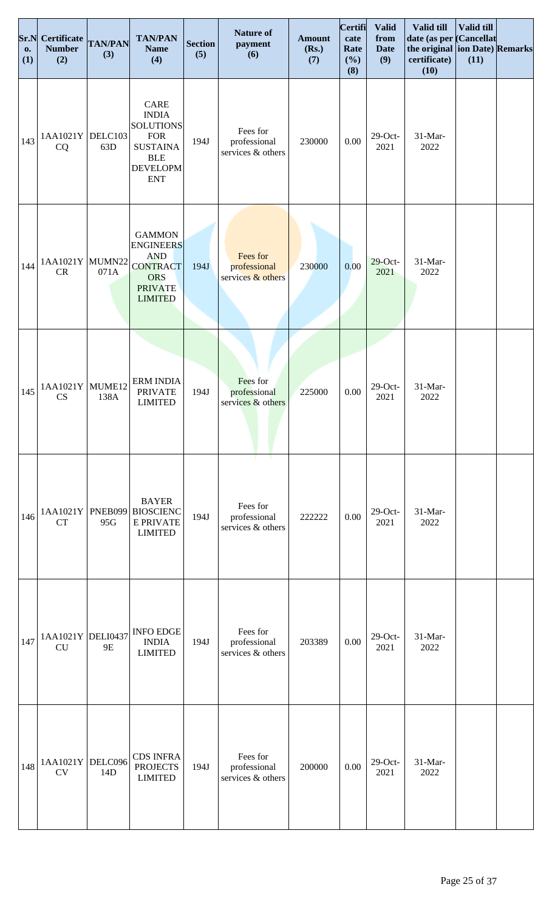| Sr.N<br><b>o.</b><br>(1) | <b>Certificate</b><br><b>Number</b><br>(2) | <b>TAN/PAN</b><br>(3) | <b>TAN/PAN</b><br><b>Name</b><br>(4)                                                                                     | <b>Section</b><br>(5) | <b>Nature of</b><br>payment<br>(6)                 | <b>Amount</b><br>(Rs.)<br>(7) | Certifi<br>cate<br>Rate<br>(%)<br>(8) | <b>Valid</b><br>from<br><b>Date</b><br>(9) | Valid till<br>date (as per Cancellat<br>the original ion Date) Remarks<br>certificate)<br>(10) | Valid till<br>(11) |  |
|--------------------------|--------------------------------------------|-----------------------|--------------------------------------------------------------------------------------------------------------------------|-----------------------|----------------------------------------------------|-------------------------------|---------------------------------------|--------------------------------------------|------------------------------------------------------------------------------------------------|--------------------|--|
| 143                      | 1AA1021Y DELC103<br>CQ                     | 63D                   | CARE<br><b>INDIA</b><br><b>SOLUTIONS</b><br><b>FOR</b><br><b>SUSTAINA</b><br><b>BLE</b><br><b>DEVELOPM</b><br><b>ENT</b> | 194J                  | Fees for<br>professional<br>services & others      | 230000                        | 0.00                                  | $29$ -Oct-<br>2021                         | 31-Mar-<br>2022                                                                                |                    |  |
| 144                      | 1AA1021Y MUMN22<br>CR                      | 071A                  | <b>GAMMON</b><br><b>ENGINEERS</b><br><b>AND</b><br><b>CONTRACT</b><br><b>ORS</b><br><b>PRIVATE</b><br><b>LIMITED</b>     | 194J                  | Fees for<br>professional<br>services & others      | 230000                        | 0.00                                  | $29$ -Oct-<br>2021                         | $31-Mar-$<br>2022                                                                              |                    |  |
| 145                      | 1AA1021Y MUME12<br>CS                      | 138A                  | <b>ERM INDIA</b><br><b>PRIVATE</b><br><b>LIMITED</b>                                                                     | 194J                  | Fees for<br>professional<br>services & others      | 225000                        | 0.00                                  | $29$ -Oct-<br>2021                         | 31-Mar-<br>2022                                                                                |                    |  |
| 146                      | 1AA1021Y<br><b>CT</b>                      | <b>PNEB099</b><br>95G | <b>BAYER</b><br><b>BIOSCIENC</b><br><b>E PRIVATE</b><br><b>LIMITED</b>                                                   | 194J                  | п<br>Fees for<br>professional<br>services & others | 222222                        | 0.00                                  | $29$ -Oct-<br>2021                         | 31-Mar-<br>2022                                                                                |                    |  |
| 147                      | 1AA1021Y DELI0437<br><b>CU</b>             | <b>9E</b>             | <b>INFO EDGE</b><br><b>INDIA</b><br><b>LIMITED</b>                                                                       | 194J                  | Fees for<br>professional<br>services & others      | 203389                        | 0.00                                  | $29$ -Oct-<br>2021                         | 31-Mar-<br>2022                                                                                |                    |  |
| 148                      | 1AA1021Y<br><b>CV</b>                      | DELC096<br>14D        | <b>CDS INFRA</b><br><b>PROJECTS</b><br><b>LIMITED</b>                                                                    | 194J                  | Fees for<br>professional<br>services & others      | 200000                        | 0.00                                  | $29$ -Oct-<br>2021                         | 31-Mar-<br>2022                                                                                |                    |  |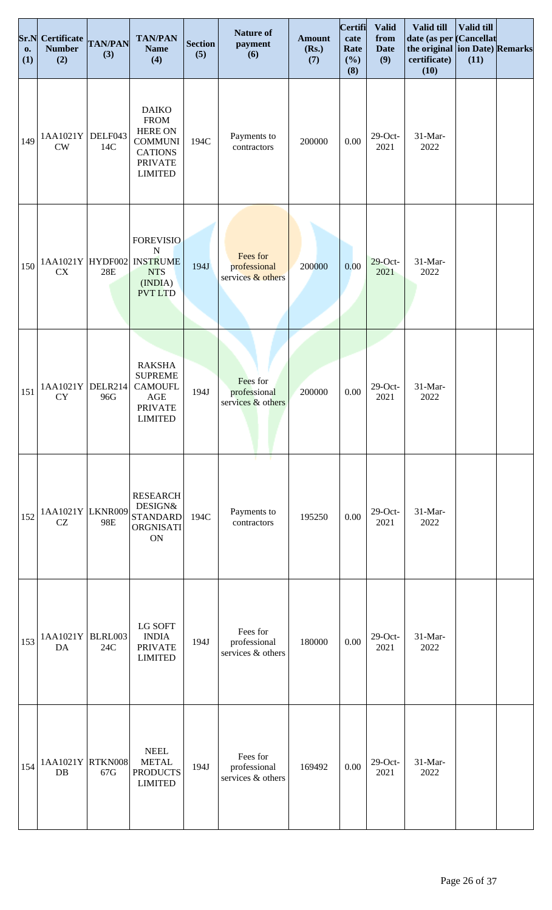| Sr.N<br><b>o.</b><br>(1) | <b>Certificate</b><br><b>Number</b><br>(2) | <b>TAN/PAN</b><br>(3) | <b>TAN/PAN</b><br><b>Name</b><br>(4)                                                                                  | <b>Section</b><br>(5) | <b>Nature of</b><br>payment<br>(6)            | <b>Amount</b><br>(Rs.)<br>(7) | Certifi<br>cate<br>Rate<br>(%)<br>(8) | <b>Valid</b><br>from<br><b>Date</b><br>(9) | Valid till<br>date (as per Cancellat<br>the original ion Date) Remarks<br>certificate)<br>(10) | Valid till<br>(11) |  |
|--------------------------|--------------------------------------------|-----------------------|-----------------------------------------------------------------------------------------------------------------------|-----------------------|-----------------------------------------------|-------------------------------|---------------------------------------|--------------------------------------------|------------------------------------------------------------------------------------------------|--------------------|--|
| 149                      | 1AA1021Y<br><b>CW</b>                      | DELF043<br>14C        | <b>DAIKO</b><br><b>FROM</b><br><b>HERE ON</b><br><b>COMMUNI</b><br><b>CATIONS</b><br><b>PRIVATE</b><br><b>LIMITED</b> | 194C                  | Payments to<br>contractors                    | 200000                        | 0.00                                  | $29$ -Oct-<br>2021                         | 31-Mar-<br>2022                                                                                |                    |  |
| 150                      | 1AA1021Y HYDF002<br>CX                     | 28E                   | <b>FOREVISIO</b><br>${\bf N}$<br><b>INSTRUME</b><br><b>NTS</b><br>(INDIA)<br><b>PVT LTD</b>                           | 194J                  | Fees for<br>professional<br>services & others | 200000                        | 0.00                                  | $29$ -Oct-<br>2021                         | 31-Mar-<br>2022                                                                                |                    |  |
| 151                      | 1AA1021Y<br>CY                             | DELR214<br>96G        | <b>RAKSHA</b><br><b>SUPREME</b><br><b>CAMOUFL</b><br>AGE<br><b>PRIVATE</b><br><b>LIMITED</b>                          | 194J                  | Fees for<br>professional<br>services & others | 200000                        | 0.00                                  | $29$ -Oct-<br>2021                         | 31-Mar-<br>2022                                                                                |                    |  |
| 152                      | 1AA1021Y LKNR009<br>CZ                     | 98E                   | <b>RESEARCH</b><br><b>DESIGN&amp;</b><br><b>STANDARD</b><br>ORGNISATI<br><b>ON</b>                                    | 194C                  | Payments to<br>contractors                    | 195250                        | 0.00                                  | $29$ -Oct-<br>2021                         | 31-Mar-<br>2022                                                                                |                    |  |
| 153                      | 1AA1021Y<br>DA                             | <b>BLRL003</b><br>24C | LG SOFT<br><b>INDIA</b><br><b>PRIVATE</b><br><b>LIMITED</b>                                                           | 194J                  | Fees for<br>professional<br>services & others | 180000                        | 0.00                                  | $29$ -Oct-<br>2021                         | 31-Mar-<br>2022                                                                                |                    |  |
| 154                      | 1AA1021Y RTKN008<br>DB                     | 67G                   | <b>NEEL</b><br><b>METAL</b><br><b>PRODUCTS</b><br><b>LIMITED</b>                                                      | 194J                  | Fees for<br>professional<br>services & others | 169492                        | 0.00                                  | $29$ -Oct-<br>2021                         | 31-Mar-<br>2022                                                                                |                    |  |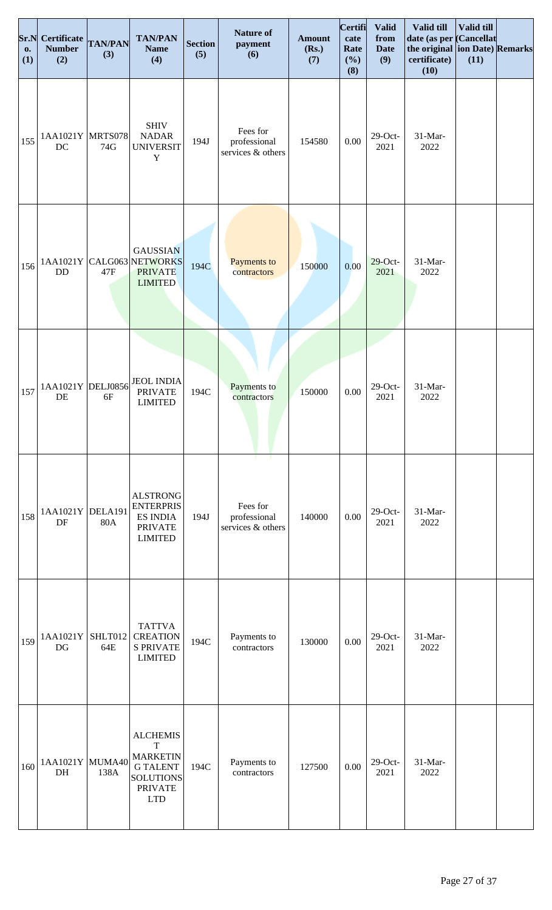| Sr.N<br><b>o.</b><br>(1) | Certificate TAN/PAN<br><b>Number</b><br>(2) | (3)            | <b>TAN/PAN</b><br><b>Name</b><br>(4)                                                                                    | <b>Section</b><br>(5) | <b>Nature of</b><br>payment<br>(6)            | <b>Amount</b><br>(Rs.)<br>(7) | Certifi<br>cate<br>Rate<br>(%)<br>(8) | <b>Valid</b><br>from<br><b>Date</b><br>(9) | Valid till<br>date (as per Cancellat<br>the original ion Date) Remarks<br>certificate)<br>(10) | Valid till<br>(11) |  |
|--------------------------|---------------------------------------------|----------------|-------------------------------------------------------------------------------------------------------------------------|-----------------------|-----------------------------------------------|-------------------------------|---------------------------------------|--------------------------------------------|------------------------------------------------------------------------------------------------|--------------------|--|
| 155                      | 1AA1021Y MRTS078<br>DC                      | 74G            | <b>SHIV</b><br><b>NADAR</b><br><b>UNIVERSIT</b><br>$\mathbf Y$                                                          | 194J                  | Fees for<br>professional<br>services & others | 154580                        | 0.00                                  | $29$ -Oct-<br>2021                         | 31-Mar-<br>2022                                                                                |                    |  |
| 156                      | DD                                          | 47F            | <b>GAUSSIAN</b><br>1AA1021Y CALG063 NETWORKS<br><b>PRIVATE</b><br><b>LIMITED</b>                                        | 194C                  | Payments to<br>contractors                    | 150000                        | 0.00                                  | $29$ -Oct-<br>2021                         | 31-Mar-<br>2022                                                                                |                    |  |
| 157                      | 1AA1021Y DELJ0856<br>DE                     | 6F             | <b>JEOL INDIA</b><br><b>PRIVATE</b><br><b>LIMITED</b>                                                                   | 194C                  | Payments to<br>contractors                    | 150000                        | $0.00\,$                              | $29$ -Oct-<br>2021                         | 31-Mar-<br>2022                                                                                |                    |  |
| 158                      | 1AA1021Y DELA191<br>DF                      | <b>80A</b>     | <b>ALSTRONG</b><br><b>ENTERPRIS</b><br><b>ES INDIA</b><br><b>PRIVATE</b><br><b>LIMITED</b>                              | 194J                  | Fees for<br>professional<br>services & others | 140000                        | 0.00                                  | $29$ -Oct-<br>2021                         | 31-Mar-<br>2022                                                                                |                    |  |
| 159                      | 1AA1021Y<br>DG                              | SHLT012<br>64E | <b>TATTVA</b><br><b>CREATION</b><br><b>S PRIVATE</b><br><b>LIMITED</b>                                                  | 194C                  | Payments to<br>contractors                    | 130000                        | $0.00\,$                              | $29$ -Oct-<br>2021                         | 31-Mar-<br>2022                                                                                |                    |  |
| 160                      | 1AA1021Y MUMA40<br>DH                       | 138A           | <b>ALCHEMIS</b><br>$\mathbf T$<br><b>MARKETIN</b><br><b>GTALENT</b><br><b>SOLUTIONS</b><br><b>PRIVATE</b><br><b>LTD</b> | 194C                  | Payments to<br>contractors                    | 127500                        | 0.00                                  | $29$ -Oct-<br>2021                         | 31-Mar-<br>2022                                                                                |                    |  |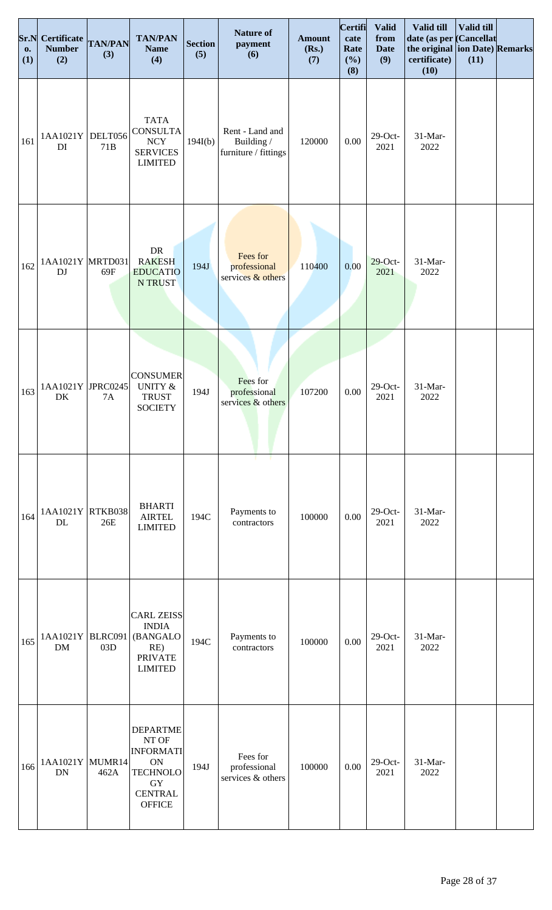| Sr.N<br><b>o.</b><br>(1) | <b>Certificate</b><br><b>Number</b><br>(2) | <b>TAN/PAN</b><br>(3) | <b>TAN/PAN</b><br><b>Name</b><br>(4)                                                                                  | <b>Section</b><br>(5) | <b>Nature of</b><br>payment<br>(6)                    | <b>Amount</b><br>(Rs.)<br>(7) | Certifi<br>cate<br>Rate<br>(%)<br>(8) | <b>Valid</b><br>from<br><b>Date</b><br>(9) | Valid till<br>date (as per Cancellat<br>the original ion Date) Remarks<br>certificate)<br>(10) | <b>Valid till</b><br>(11) |  |
|--------------------------|--------------------------------------------|-----------------------|-----------------------------------------------------------------------------------------------------------------------|-----------------------|-------------------------------------------------------|-------------------------------|---------------------------------------|--------------------------------------------|------------------------------------------------------------------------------------------------|---------------------------|--|
| 161                      | 1AA1021Y<br>DI                             | DELT056<br>71B        | <b>TATA</b><br><b>CONSULTA</b><br>$\ensuremath{\text{NCY}}$<br><b>SERVICES</b><br><b>LIMITED</b>                      | 194I(b)               | Rent - Land and<br>Building /<br>furniture / fittings | 120000                        | $0.00\,$                              | $29$ -Oct-<br>2021                         | 31-Mar-<br>2022                                                                                |                           |  |
| 162                      | 1AA1021Y MRTD031<br>DJ                     | 69F                   | DR<br><b>RAKESH</b><br><b>EDUCATIO</b><br><b>N TRUST</b>                                                              | 194J                  | Fees for<br>professional<br>services & others         | 110400                        | 0.00                                  | $29$ -Oct-<br>2021                         | 31-Mar-<br>2022                                                                                |                           |  |
| 163                      | 1AA1021Y JPRC0245<br>DK                    | <b>7A</b>             | <b>CONSUMER</b><br><b>UNITY &amp;</b><br><b>TRUST</b><br><b>SOCIETY</b>                                               | 194J                  | Fees for<br>professional<br>services & others         | 107200                        | $0.00\,$                              | $29$ -Oct-<br>2021                         | 31-Mar-<br>2022                                                                                |                           |  |
| 164                      | 1AA1021Y<br>DL                             | RTKB038<br>26E        | <b>BHARTI</b><br><b>AIRTEL</b><br><b>LIMITED</b>                                                                      | 194C                  | т.<br>Payments to<br>contractors                      | 100000                        | 0.00                                  | $29$ -Oct-<br>2021                         | 31-Mar-<br>2022                                                                                |                           |  |
| 165                      | 1AA1021Y<br>DM                             | BLRC091<br>03D        | <b>CARL ZEISS</b><br><b>INDIA</b><br>(BANGALO<br>RE)<br><b>PRIVATE</b><br><b>LIMITED</b>                              | 194C                  | Payments to<br>contractors                            | 100000                        | $0.00\,$                              | $29$ -Oct-<br>2021                         | 31-Mar-<br>2022                                                                                |                           |  |
| 166                      | 1AA1021Y<br><b>DN</b>                      | MUMR14<br>462A        | <b>DEPARTME</b><br>NT OF<br><b>INFORMATI</b><br><b>ON</b><br><b>TECHNOLO</b><br>GY<br><b>CENTRAL</b><br><b>OFFICE</b> | 194J                  | Fees for<br>professional<br>services & others         | 100000                        | 0.00                                  | $29$ -Oct-<br>2021                         | 31-Mar-<br>2022                                                                                |                           |  |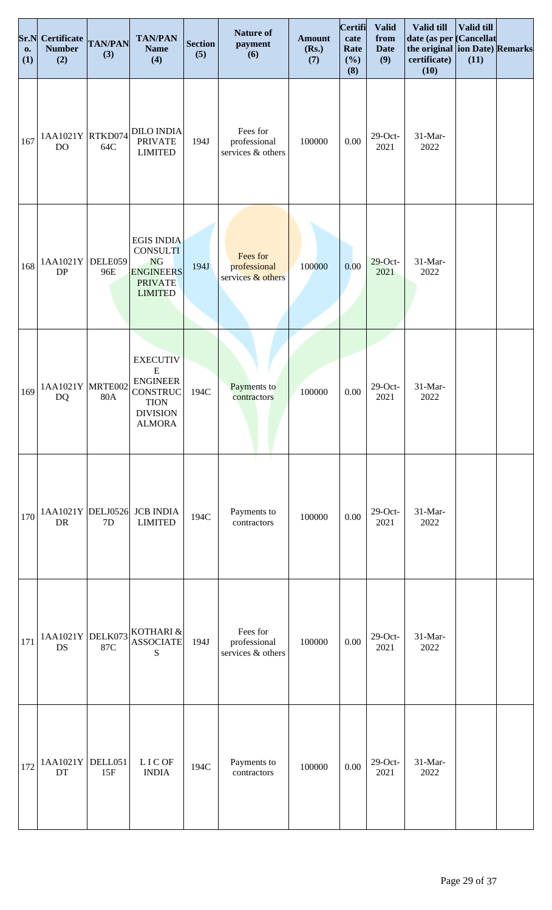| Sr.N<br>0.<br>(1) | <b>Certificate</b><br><b>Number</b><br>(2) | <b>TAN/PAN</b><br>(3) | <b>TAN/PAN</b><br><b>Name</b><br>(4)                                                                           | <b>Section</b><br>(5) | <b>Nature of</b><br>payment<br>(6)              | <b>Amount</b><br>(Rs.)<br>(7) | Certifi<br>cate<br>Rate<br>(%)<br>(8) | <b>Valid</b><br>from<br><b>Date</b><br>(9) | Valid till<br>date (as per Cancellat<br>the original ion Date) Remarks<br>certificate)<br>(10) | Valid till<br>(11) |  |
|-------------------|--------------------------------------------|-----------------------|----------------------------------------------------------------------------------------------------------------|-----------------------|-------------------------------------------------|-------------------------------|---------------------------------------|--------------------------------------------|------------------------------------------------------------------------------------------------|--------------------|--|
| 167               | 1AA1021Y  RTKD074<br>DO                    | 64C                   | <b>DILO INDIA</b><br><b>PRIVATE</b><br><b>LIMITED</b>                                                          | 194J                  | Fees for<br>professional<br>services & others   | 100000                        | 0.00                                  | $29$ -Oct-<br>2021                         | 31-Mar-<br>2022                                                                                |                    |  |
| 168               | 1AA1021Y<br>DP                             | DELE059<br>96E        | <b>EGIS INDIA</b><br><b>CONSULTI</b><br><b>NG</b><br><b>ENGINEERS</b><br><b>PRIVATE</b><br><b>LIMITED</b>      | 194J                  | Fees for<br>professional<br>services $&$ others | 100000                        | 0.00                                  | $29$ -Oct-<br>2021                         | $31-Mar-$<br>2022                                                                              |                    |  |
| 169               | 1AA1021Y MRTE002<br><b>DQ</b>              | <b>80A</b>            | <b>EXECUTIV</b><br>${\bf E}$<br><b>ENGINEER</b><br>CONSTRUC<br><b>TION</b><br><b>DIVISION</b><br><b>ALMORA</b> | 194C                  | Payments to<br>contractors                      | 100000                        | $0.00\,$                              | $29$ -Oct-<br>2021                         | 31-Mar-<br>2022                                                                                |                    |  |
| 170               | 1AA1021Y DELJ0526<br>DR                    | 7D                    | <b>JCB INDIA</b><br><b>LIMITED</b>                                                                             | 194C                  | Payments to<br>contractors                      | 100000                        | 0.00                                  | $29$ -Oct-<br>2021                         | $31-Mar-$<br>2022                                                                              |                    |  |
| 171               | 1AA1021Y DELK073<br>DS                     | 87C                   | KOTHARI &<br><b>ASSOCIATE</b><br>S                                                                             | 194J                  | Fees for<br>professional<br>services & others   | 100000                        | 0.00                                  | $29$ -Oct-<br>2021                         | 31-Mar-<br>2022                                                                                |                    |  |
| 172               | 1AA1021Y DELL051<br>DT                     | 15F                   | <b>LICOF</b><br><b>INDIA</b>                                                                                   | 194C                  | Payments to<br>contractors                      | 100000                        | $0.00\,$                              | $29$ -Oct-<br>2021                         | 31-Mar-<br>2022                                                                                |                    |  |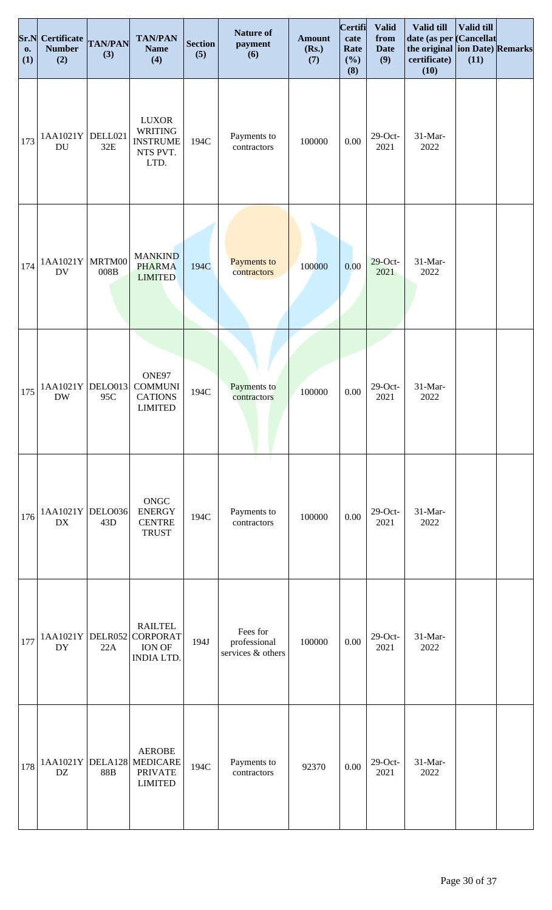| Sr.N<br><b>o.</b><br>(1) | Certificate<br><b>Number</b><br>(2) | <b>TAN/PAN</b><br>(3)     | <b>TAN/PAN</b><br><b>Name</b><br>(4)                                  | <b>Section</b><br>(5) | <b>Nature of</b><br>payment<br>(6)            | <b>Amount</b><br>(Rs.)<br>(7) | Certifi<br>cate<br>Rate<br>(%)<br>(8) | <b>Valid</b><br>from<br><b>Date</b><br>(9) | Valid till<br>date (as per Cancellat<br>the original ion Date) Remarks<br>certificate)<br>(10) | Valid till<br>(11) |  |
|--------------------------|-------------------------------------|---------------------------|-----------------------------------------------------------------------|-----------------------|-----------------------------------------------|-------------------------------|---------------------------------------|--------------------------------------------|------------------------------------------------------------------------------------------------|--------------------|--|
| 173                      | 1AA1021Y<br><b>DU</b>               | DELL021<br>$32E$          | <b>LUXOR</b><br><b>WRITING</b><br><b>INSTRUME</b><br>NTS PVT.<br>LTD. | 194C                  | Payments to<br>contractors                    | 100000                        | $0.00\,$                              | $29$ -Oct-<br>2021                         | 31-Mar-<br>2022                                                                                |                    |  |
| 174                      | 1AA1021Y<br><b>DV</b>               | MRTM00<br>$008\mathrm{B}$ | <b>MANKIND</b><br><b>PHARMA</b><br><b>LIMITED</b>                     | 194C                  | Payments to<br>contractors                    | 100000                        | 0.00                                  | $29$ -Oct-<br>2021                         | 31-Mar-<br>2022                                                                                |                    |  |
| 175                      | 1AA1021Y DELO013<br><b>DW</b>       | 95C                       | ONE97<br><b>COMMUNI</b><br><b>CATIONS</b><br><b>LIMITED</b>           | 194C                  | Payments to<br>contractors                    | 100000                        | $0.00\,$                              | $29$ -Oct-<br>2021                         | 31-Mar-<br>2022                                                                                |                    |  |
| 176                      | 1AA1021Y<br><b>DX</b>               | DELO036<br>43D            | ONGC<br><b>ENERGY</b><br><b>CENTRE</b><br><b>TRUST</b>                | 194C                  | - 1<br>т.<br>Payments to<br>contractors       | 100000                        | 0.00                                  | $29$ -Oct-<br>2021                         | 31-Mar-<br>2022                                                                                |                    |  |
| 177                      | 1AA1021Y DELR052<br>DY              | 22A                       | <b>RAILTEL</b><br><b>CORPORAT</b><br>ION OF<br><b>INDIA LTD.</b>      | 194J                  | Fees for<br>professional<br>services & others | 100000                        | $0.00\,$                              | $29$ -Oct-<br>2021                         | 31-Mar-<br>2022                                                                                |                    |  |
| 178                      | 1AA1021Y<br>DZ                      | DELA128<br><b>88B</b>     | <b>AEROBE</b><br><b>MEDICARE</b><br><b>PRIVATE</b><br><b>LIMITED</b>  | 194C                  | Payments to<br>contractors                    | 92370                         | 0.00                                  | $29$ -Oct-<br>2021                         | 31-Mar-<br>2022                                                                                |                    |  |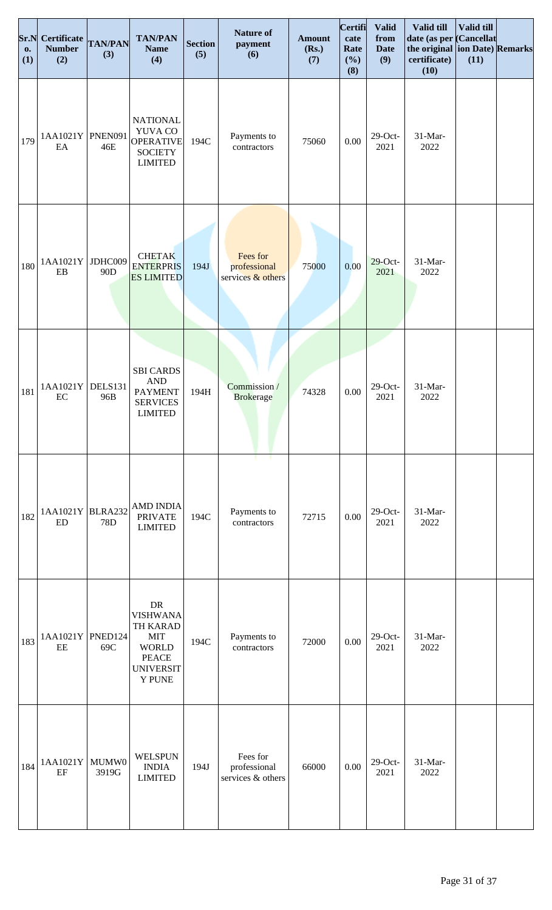| Sr.N<br>0.<br>(1) | Certificate TAN/PAN<br><b>Number</b><br>(2) | (3)                        | <b>TAN/PAN</b><br><b>Name</b><br>(4)                                                                                         | <b>Section</b><br>(5) | <b>Nature of</b><br>payment<br>(6)            | <b>Amount</b><br>(Rs.)<br>(7) | <b>Certifi</b><br>cate<br>Rate<br>(%)<br>(8) | <b>Valid</b><br>from<br><b>Date</b><br>(9) | Valid till<br>date (as per Cancellat<br>the original ion Date) Remarks<br>certificate)<br>(10) | <b>Valid till</b><br>(11) |  |
|-------------------|---------------------------------------------|----------------------------|------------------------------------------------------------------------------------------------------------------------------|-----------------------|-----------------------------------------------|-------------------------------|----------------------------------------------|--------------------------------------------|------------------------------------------------------------------------------------------------|---------------------------|--|
| 179               | 1AA1021Y PNEN091<br>EA                      | 46E                        | <b>NATIONAL</b><br>YUVA CO<br>OPERATIVE<br><b>SOCIETY</b><br><b>LIMITED</b>                                                  | 194C                  | Payments to<br>contractors                    | 75060                         | $0.00\,$                                     | $29$ -Oct-<br>2021                         | 31-Mar-<br>2022                                                                                |                           |  |
| 180               | 1AA1021Y<br>EB                              | JDHC009<br>90 <sub>D</sub> | <b>CHETAK</b><br><b>ENTERPRIS</b><br><b>ES LIMITED</b>                                                                       | 194J                  | Fees for<br>professional<br>services & others | 75000                         | 0.00                                         | $29$ -Oct-<br>2021                         | 31-Mar-<br>2022                                                                                |                           |  |
| 181               | 1AA1021Y<br>EC                              | DELS131<br>96B             | <b>SBI CARDS</b><br><b>AND</b><br><b>PAYMENT</b><br><b>SERVICES</b><br><b>LIMITED</b>                                        | 194H                  | Commission /<br><b>Brokerage</b>              | 74328                         | $0.00\,$                                     | $29$ -Oct-<br>2021                         | 31-Mar-<br>2022                                                                                |                           |  |
| 182               | 1AA1021Y BLRA232<br><b>ED</b>               | 78D                        | <b>AMD INDIA</b><br><b>PRIVATE</b><br><b>LIMITED</b>                                                                         | 194C                  | - 11<br>т.<br>Payments to<br>contractors      | 72715                         | 0.00                                         | $29$ -Oct-<br>2021                         | 31-Mar-<br>2022                                                                                |                           |  |
| 183               | 1AA1021Y PNED124<br>EE                      | 69C                        | ${\rm DR}$<br><b>VISHWANA</b><br>TH KARAD<br><b>MIT</b><br><b>WORLD</b><br><b>PEACE</b><br><b>UNIVERSIT</b><br><b>Y PUNE</b> | 194C                  | Payments to<br>contractors                    | 72000                         | $0.00\,$                                     | $29$ -Oct-<br>2021                         | 31-Mar-<br>2022                                                                                |                           |  |
| 184               | 1AA1021Y<br>EF                              | MUMW0<br>3919G             | <b>WELSPUN</b><br><b>INDIA</b><br><b>LIMITED</b>                                                                             | 194J                  | Fees for<br>professional<br>services & others | 66000                         | 0.00                                         | $29$ -Oct-<br>2021                         | 31-Mar-<br>2022                                                                                |                           |  |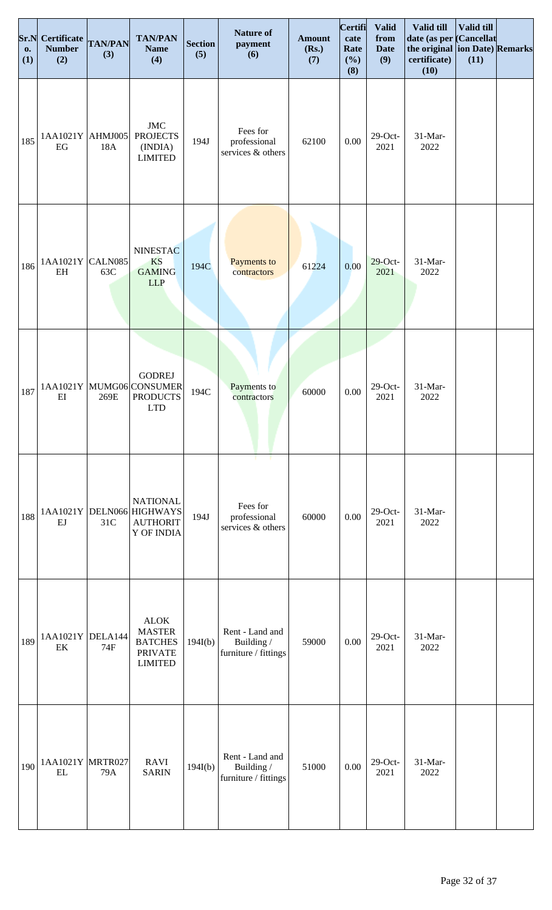| Sr.N<br><b>o.</b><br>(1) | Certificate<br><b>Number</b><br>(2) | <b>TAN/PAN</b><br>(3) | <b>TAN/PAN</b><br><b>Name</b><br>(4)                                                 | <b>Section</b><br>(5) | <b>Nature of</b><br>payment<br>(6)                    | <b>Amount</b><br>(Rs.)<br>(7) | Certifi<br>cate<br>Rate<br>(%)<br>(8) | <b>Valid</b><br>from<br><b>Date</b><br>(9) | Valid till<br>date (as per Cancellat<br>the original ion Date) Remarks<br>certificate)<br>(10) | Valid till<br>(11) |  |
|--------------------------|-------------------------------------|-----------------------|--------------------------------------------------------------------------------------|-----------------------|-------------------------------------------------------|-------------------------------|---------------------------------------|--------------------------------------------|------------------------------------------------------------------------------------------------|--------------------|--|
| 185                      | 1AA1021Y AHMJ005<br>EG              | 18A                   | $\rm JMC$<br><b>PROJECTS</b><br>(INDIA)<br><b>LIMITED</b>                            | 194J                  | Fees for<br>professional<br>services & others         | 62100                         | 0.00                                  | $29$ -Oct-<br>2021                         | 31-Mar-<br>2022                                                                                |                    |  |
| 186                      | 1AA1021Y<br>EH                      | CALN085<br>63C        | <b>NINESTAC</b><br><b>KS</b><br><b>GAMING</b><br><b>LLP</b>                          | 194C                  | Payments to<br>contractors                            | 61224                         | 0.00                                  | $29$ -Oct-<br>2021                         | 31-Mar-<br>2022                                                                                |                    |  |
| 187                      | $E$ I                               | 269E                  | <b>GODREJ</b><br>1AA1021Y MUMG06 CONSUMER<br><b>PRODUCTS</b><br><b>LTD</b>           | 194C                  | Payments to<br>contractors                            | 60000                         | $0.00\,$                              | $29$ -Oct-<br>2021                         | 31-Mar-<br>2022                                                                                |                    |  |
| 188                      | EJ                                  | 31C                   | <b>NATIONAL</b><br>1AA1021Y DELN066 HIGHWAYS<br><b>AUTHORIT</b><br><b>Y OF INDIA</b> | 194J                  | Fees for<br>professional<br>services & others         | 60000                         | 0.00                                  | $29$ -Oct-<br>2021                         | 31-Mar-<br>2022                                                                                |                    |  |
| 189                      | 1AA1021Y DELA144<br>EK              | 74F                   | <b>ALOK</b><br><b>MASTER</b><br><b>BATCHES</b><br><b>PRIVATE</b><br><b>LIMITED</b>   | 194I(b)               | Rent - Land and<br>Building /<br>furniture / fittings | 59000                         | 0.00                                  | $29$ -Oct-<br>2021                         | 31-Mar-<br>2022                                                                                |                    |  |
| 190                      | 1AA1021Y MRTR027<br>EL              | 79A                   | <b>RAVI</b><br><b>SARIN</b>                                                          | 194I(b)               | Rent - Land and<br>Building /<br>furniture / fittings | 51000                         | 0.00                                  | $29$ -Oct-<br>2021                         | 31-Mar-<br>2022                                                                                |                    |  |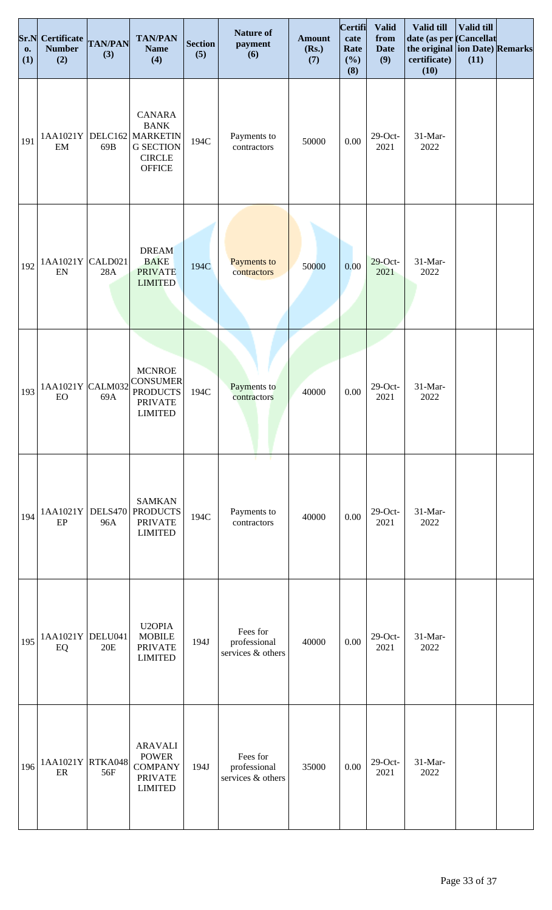| Sr.N<br><b>o.</b><br>(1) | Certificate<br><b>Number</b><br>(2) | <b>TAN/PAN</b><br>(3) | <b>TAN/PAN</b><br><b>Name</b><br>(4)                                                            | <b>Section</b><br>(5) | <b>Nature of</b><br>payment<br>(6)            | <b>Amount</b><br>(Rs.)<br>(7) | Certifi<br>cate<br>Rate<br>(%)<br>(8) | <b>Valid</b><br>from<br><b>Date</b><br>(9) | Valid till<br>date (as per Cancellat<br>the original ion Date) Remarks<br>certificate)<br>(10) | Valid till<br>(11) |  |
|--------------------------|-------------------------------------|-----------------------|-------------------------------------------------------------------------------------------------|-----------------------|-----------------------------------------------|-------------------------------|---------------------------------------|--------------------------------------------|------------------------------------------------------------------------------------------------|--------------------|--|
| 191                      | 1AA1021Y<br>EM                      | 69B                   | CANARA<br><b>BANK</b><br>DELC162 MARKETIN<br><b>G SECTION</b><br><b>CIRCLE</b><br><b>OFFICE</b> | 194C                  | Payments to<br>contractors                    | 50000                         | $0.00\,$                              | $29$ -Oct-<br>2021                         | $31-Mar-$<br>2022                                                                              |                    |  |
| 192                      | 1AA1021Y<br>${\rm EN}$              | CALD021<br>28A        | <b>DREAM</b><br><b>BAKE</b><br><b>PRIVATE</b><br><b>LIMITED</b>                                 | 194C                  | Payments to<br>contractors                    | 50000                         | 0.00                                  | $29$ -Oct-<br>2021                         | 31-Mar-<br>2022                                                                                |                    |  |
| 193                      | 1AA1021Y CALM032<br>${\rm EO}$      | 69A                   | <b>MCNROE</b><br><b>CONSUMER</b><br><b>PRODUCTS</b><br><b>PRIVATE</b><br><b>LIMITED</b>         | 194C                  | Payments to<br>contractors                    | 40000                         | $0.00\,$                              | $29$ -Oct-<br>2021                         | 31-Mar-<br>2022                                                                                |                    |  |
| 194                      | 1AA1021Y<br>EP                      | DELS470<br>96A        | <b>SAMKAN</b><br><b>PRODUCTS</b><br><b>PRIVATE</b><br><b>LIMITED</b>                            | 194C                  | т.<br>Payments to<br>contractors              | 40000                         | 0.00                                  | $29$ -Oct-<br>2021                         | 31-Mar-<br>2022                                                                                |                    |  |
| 195                      | 1AA1021Y<br>EQ                      | DELU041<br>20E        | U2OPIA<br><b>MOBILE</b><br><b>PRIVATE</b><br><b>LIMITED</b>                                     | 194J                  | Fees for<br>professional<br>services & others | 40000                         | $0.00\,$                              | $29$ -Oct-<br>2021                         | 31-Mar-<br>2022                                                                                |                    |  |
| 196                      | 1AA1021Y RTKA048<br>ER              | 56F                   | <b>ARAVALI</b><br><b>POWER</b><br><b>COMPANY</b><br><b>PRIVATE</b><br><b>LIMITED</b>            | 194J                  | Fees for<br>professional<br>services & others | 35000                         | 0.00                                  | $29$ -Oct-<br>2021                         | 31-Mar-<br>2022                                                                                |                    |  |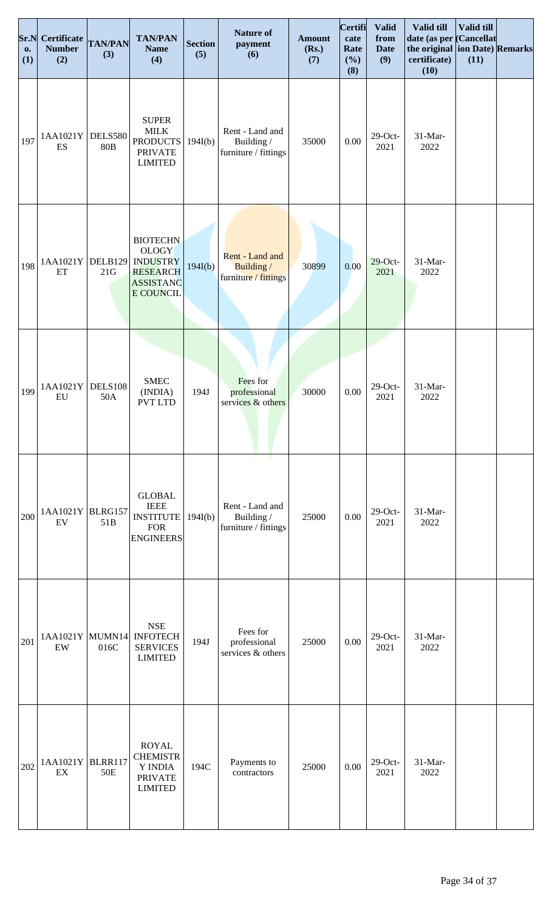| Sr.N<br><b>O.</b><br>(1) | <b>Certificate</b><br><b>Number</b><br>(2)  | <b>TAN/PAN</b><br>(3) | <b>TAN/PAN</b><br><b>Name</b><br>(4)                                                                   | <b>Section</b><br>(5) | <b>Nature of</b><br>payment<br>(6)                          | <b>Amount</b><br>(Rs.)<br>(7) | <b>Certifi</b><br>cate<br>Rate<br>(%)<br>(8) | <b>Valid</b><br>from<br><b>Date</b><br>(9) | Valid till<br>date (as per<br>the original ion Date) Remarks<br>certificate)<br>(10) | Valid till<br><b>Cancellat</b><br>(11) |  |
|--------------------------|---------------------------------------------|-----------------------|--------------------------------------------------------------------------------------------------------|-----------------------|-------------------------------------------------------------|-------------------------------|----------------------------------------------|--------------------------------------------|--------------------------------------------------------------------------------------|----------------------------------------|--|
| 197                      | 1AA1021Y<br>ES                              | DELS580<br><b>80B</b> | <b>SUPER</b><br><b>MILK</b><br><b>PRODUCTS</b><br><b>PRIVATE</b><br><b>LIMITED</b>                     | 194I(b)               | Rent - Land and<br>Building /<br>furniture / fittings       | 35000                         | $0.00\,$                                     | $29$ -Oct-<br>2021                         | 31-Mar-<br>2022                                                                      |                                        |  |
| 198                      | 1AA1021Y DELB129<br>ET                      | 21G                   | <b>BIOTECHN</b><br><b>OLOGY</b><br><b>INDUSTRY</b><br><b>RESEARCH</b><br><b>ASSISTANC</b><br>E COUNCIL | 194I(b)               | Rent - Land and<br>Building /<br>furniture / fittings       | 30899                         | 0.00                                         | $29$ -Oct-<br>2021                         | 31-Mar-<br>2022                                                                      |                                        |  |
| 199                      | 1AA1021Y<br>EU                              | <b>DELS108</b><br>50A | <b>SMEC</b><br>(INDIA)<br><b>PVT LTD</b>                                                               | 194J                  | Fees for<br>professional<br>services & others               | 30000                         | $0.00\,$                                     | $29$ -Oct-<br>2021                         | 31-Mar-<br>2022                                                                      |                                        |  |
| 200                      | 1AA1021Y BLRG157<br>EV                      | 51 <sub>B</sub>       | <b>GLOBAL</b><br><b>IEEE</b><br><b>INSTITUTE</b><br><b>FOR</b><br><b>ENGINEERS</b>                     | 194I(b)               | - 1<br>Rent - Land and<br>Building/<br>furniture / fittings | 25000                         | 0.00                                         | $29$ -Oct-<br>2021                         | 31-Mar-<br>2022                                                                      |                                        |  |
| 201                      | 1AA1021Y MUMN14<br>$\ensuremath{\text{EW}}$ | 016C                  | $\operatorname{\mathbf{NSE}}$<br><b>INFOTECH</b><br><b>SERVICES</b><br><b>LIMITED</b>                  | 194J                  | Fees for<br>professional<br>services & others               | 25000                         | $0.00\,$                                     | $29$ -Oct-<br>2021                         | 31-Mar-<br>2022                                                                      |                                        |  |
| 202                      | 1AA1021Y BLRR117<br>EX                      | 50E                   | <b>ROYAL</b><br><b>CHEMISTR</b><br>Y INDIA<br><b>PRIVATE</b><br><b>LIMITED</b>                         | 194C                  | Payments to<br>contractors                                  | 25000                         | 0.00                                         | $29$ -Oct-<br>2021                         | 31-Mar-<br>2022                                                                      |                                        |  |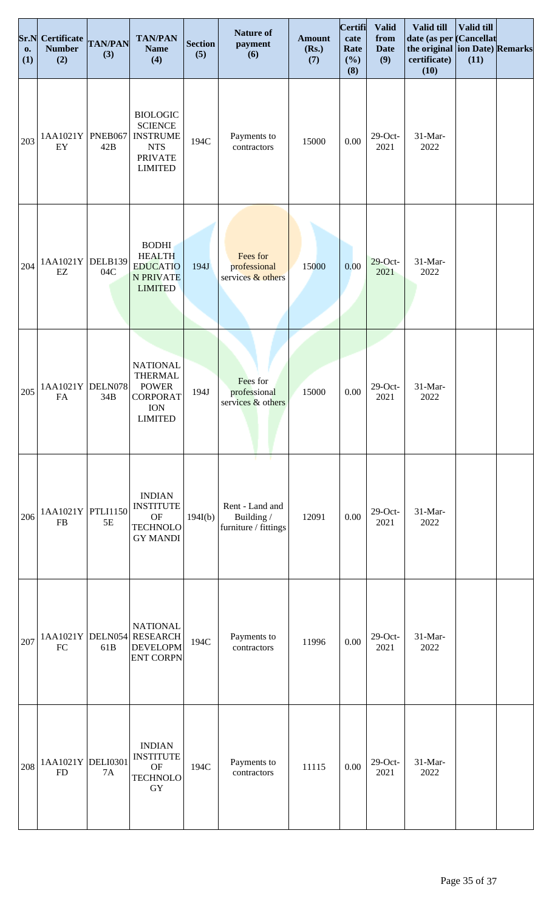| Sr.N<br><b>o.</b><br>(1) | Certificate<br><b>Number</b><br>(2) | <b>TAN/PAN</b><br>(3) | <b>TAN/PAN</b><br><b>Name</b><br>(4)                                                                   | <b>Section</b><br>(5) | <b>Nature of</b><br>payment<br>(6)                          | <b>Amount</b><br>(Rs.)<br>(7) | <b>Certifi</b><br>cate<br>Rate<br>(%)<br>(8) | <b>Valid</b><br>from<br><b>Date</b><br>(9) | Valid till<br>date (as per Cancellat<br>the original ion Date) Remarks<br>certificate)<br>(10) | Valid till<br>(11) |  |
|--------------------------|-------------------------------------|-----------------------|--------------------------------------------------------------------------------------------------------|-----------------------|-------------------------------------------------------------|-------------------------------|----------------------------------------------|--------------------------------------------|------------------------------------------------------------------------------------------------|--------------------|--|
| 203                      | 1AA1021Y<br>${\rm EY}$              | PNEB067<br>42B        | <b>BIOLOGIC</b><br><b>SCIENCE</b><br><b>INSTRUME</b><br><b>NTS</b><br><b>PRIVATE</b><br><b>LIMITED</b> | 194C                  | Payments to<br>contractors                                  | 15000                         | 0.00                                         | $29$ -Oct-<br>2021                         | 31-Mar-<br>2022                                                                                |                    |  |
| 204                      | 1AA1021Y<br>$\mathop{\rm EZ}$       | DELB139<br>04C        | <b>BODHI</b><br><b>HEALTH</b><br><b>EDUCATIO</b><br><b>N PRIVATE</b><br><b>LIMITED</b>                 | 194J                  | Fees for<br>professional<br>services $&$ others             | 15000                         | 0.00                                         | $29$ -Oct-<br>2021                         | 31-Mar-<br>2022                                                                                |                    |  |
| 205                      | 1AA1021Y<br>${\rm FA}$              | DELN078<br>34B        | <b>NATIONAL</b><br><b>THERMAL</b><br><b>POWER</b><br><b>CORPORAT</b><br><b>ION</b><br><b>LIMITED</b>   | 194J                  | Fees for<br>professional<br>services & others               | 15000                         | $0.00\,$                                     | $29$ -Oct-<br>2021                         | 31-Mar-<br>2022                                                                                |                    |  |
| 206                      | 1AA1021Y<br><b>FB</b>               | PTLI1150<br>5E        | <b>INDIAN</b><br><b>INSTITUTE</b><br>$\mathrm{OF}$<br><b>TECHNOLO</b><br><b>GY MANDI</b>               | 194I(b)               | T.<br>Rent - Land and<br>Building /<br>furniture / fittings | 12091                         | 0.00                                         | $29$ -Oct-<br>2021                         | 31-Mar-<br>2022                                                                                |                    |  |
| 207                      | 1AA1021Y DELN054<br>FC              | 61B                   | <b>NATIONAL</b><br><b>RESEARCH</b><br><b>DEVELOPM</b><br><b>ENT CORPN</b>                              | 194C                  | Payments to<br>contractors                                  | 11996                         | $0.00\,$                                     | $29$ -Oct-<br>2021                         | 31-Mar-<br>2022                                                                                |                    |  |
| 208                      | 1AA1021Y DELI0301<br><b>FD</b>      | <b>7A</b>             | <b>INDIAN</b><br><b>INSTITUTE</b><br><b>OF</b><br><b>TECHNOLO</b><br>GY                                | 194C                  | Payments to<br>contractors                                  | 11115                         | 0.00                                         | $29$ -Oct-<br>2021                         | 31-Mar-<br>2022                                                                                |                    |  |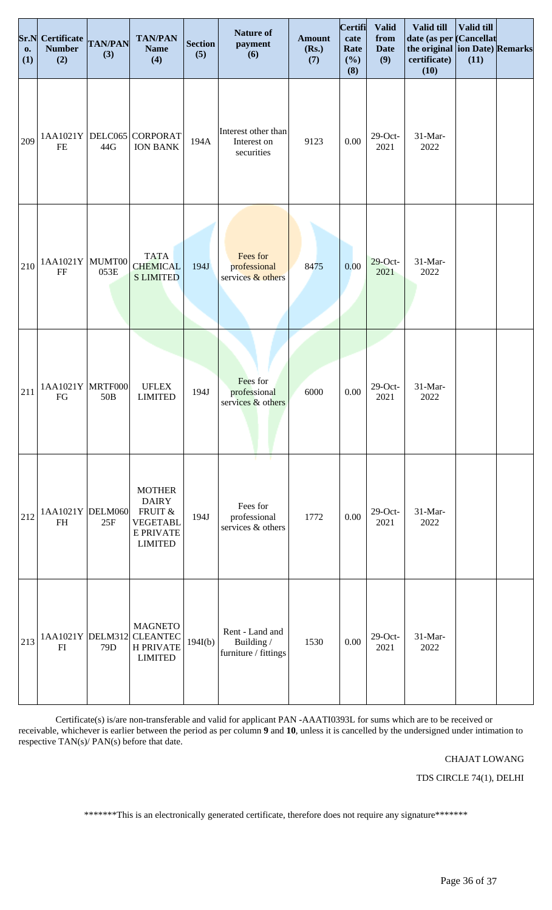| 0.<br>(1) | <b>Sr.N</b> Certificate<br><b>Number</b><br>(2) | <b>TAN/PAN</b><br>(3) | <b>TAN/PAN</b><br><b>Name</b><br>(4)                                                              | <b>Section</b><br>(5) | <b>Nature of</b><br>payment<br>(6)                    | <b>Amount</b><br>(Rs.)<br>(7) | <b>Certifi</b><br>cate<br>Rate<br>(%)<br>(8) | <b>Valid</b><br>from<br><b>Date</b><br>(9) | Valid till<br>date (as per Cancellat<br>the original ion Date) Remarks<br>certificate)<br>(10) | Valid till<br>(11) |  |
|-----------|-------------------------------------------------|-----------------------|---------------------------------------------------------------------------------------------------|-----------------------|-------------------------------------------------------|-------------------------------|----------------------------------------------|--------------------------------------------|------------------------------------------------------------------------------------------------|--------------------|--|
| 209       | 1AA1021Y<br><b>FE</b>                           | DELC065<br>44G        | <b>CORPORAT</b><br><b>ION BANK</b>                                                                | 194A                  | Interest other than<br>Interest on<br>securities      | 9123                          | 0.00                                         | $29$ -Oct-<br>2021                         | $31-Mar-$<br>2022                                                                              |                    |  |
| 210       | 1AA1021Y MUMT00<br>FF                           | 053E                  | <b>TATA</b><br><b>CHEMICAL</b><br><b>S LIMITED</b>                                                | 194J                  | Fees for<br>professional<br>services & others         | 8475                          | 0.00                                         | $29$ -Oct-<br>2021                         | 31-Mar-<br>2022                                                                                |                    |  |
| 211       | 1AA1021Y MRTF000<br>FG                          | 50 <sub>B</sub>       | <b>UFLEX</b><br><b>LIMITED</b>                                                                    | 194J                  | Fees for<br>professional<br>services & others         | 6000                          | 0.00                                         | $29$ -Oct-<br>2021                         | 31-Mar-<br>2022                                                                                |                    |  |
| 212       | 1AA1021Y DELM060<br>FH                          | 25F                   | <b>MOTHER</b><br><b>DAIRY</b><br>FRUIT &<br><b>VEGETABL</b><br><b>E PRIVATE</b><br><b>LIMITED</b> | 194J                  | Fees for<br>professional<br>services & others         | 1772                          | 0.00                                         | $29$ -Oct-<br>2021                         | 31-Mar-<br>2022                                                                                |                    |  |
| 213       | FI                                              | 79 <sub>D</sub>       | <b>MAGNETO</b><br>1AA1021Y DELM312 CLEANTEC<br><b>H PRIVATE</b><br><b>LIMITED</b>                 | 194I(b)               | Rent - Land and<br>Building /<br>furniture / fittings | 1530                          | 0.00                                         | $29$ -Oct-<br>2021                         | 31-Mar-<br>2022                                                                                |                    |  |

Certificate(s) is/are non-transferable and valid for applicant PAN -AAATI0393L for sums which are to be received or receivable, whichever is earlier between the period as per column **9** and **10**, unless it is cancelled by the undersigned under intimation to respective TAN(s)/ PAN(s) before that date.

# CHAJAT LOWANG

TDS CIRCLE 74(1), DELHI

\*\*\*\*\*\*\*This is an electronically generated certificate, therefore does not require any signature\*\*\*\*\*\*\*